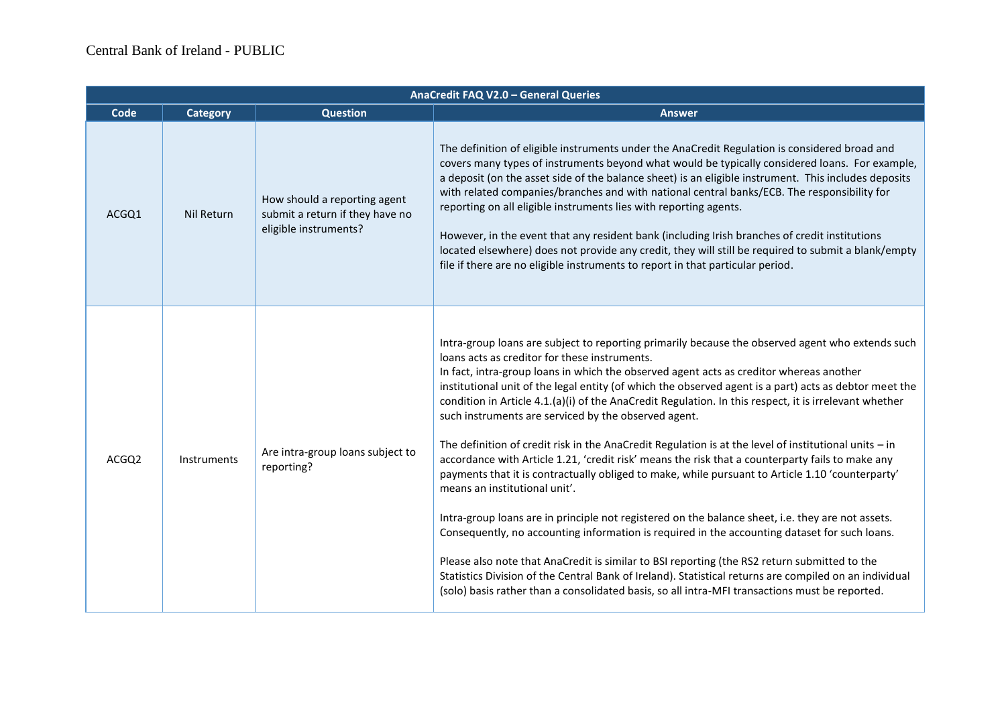| AnaCredit FAQ V2.0 - General Queries |                    |                                                                                          |                                                                                                                                                                                                                                                                                                                                                                                                                                                                                                                                                                                                                                                                                                                                                                                                                                                                                                                                                                                                                                                                                                                                                                                                                                                                                                                                                                                                |
|--------------------------------------|--------------------|------------------------------------------------------------------------------------------|------------------------------------------------------------------------------------------------------------------------------------------------------------------------------------------------------------------------------------------------------------------------------------------------------------------------------------------------------------------------------------------------------------------------------------------------------------------------------------------------------------------------------------------------------------------------------------------------------------------------------------------------------------------------------------------------------------------------------------------------------------------------------------------------------------------------------------------------------------------------------------------------------------------------------------------------------------------------------------------------------------------------------------------------------------------------------------------------------------------------------------------------------------------------------------------------------------------------------------------------------------------------------------------------------------------------------------------------------------------------------------------------|
| Code                                 | <b>Category</b>    | <b>Question</b>                                                                          | <b>Answer</b>                                                                                                                                                                                                                                                                                                                                                                                                                                                                                                                                                                                                                                                                                                                                                                                                                                                                                                                                                                                                                                                                                                                                                                                                                                                                                                                                                                                  |
| ACGQ1                                | Nil Return         | How should a reporting agent<br>submit a return if they have no<br>eligible instruments? | The definition of eligible instruments under the AnaCredit Regulation is considered broad and<br>covers many types of instruments beyond what would be typically considered loans. For example,<br>a deposit (on the asset side of the balance sheet) is an eligible instrument. This includes deposits<br>with related companies/branches and with national central banks/ECB. The responsibility for<br>reporting on all eligible instruments lies with reporting agents.<br>However, in the event that any resident bank (including Irish branches of credit institutions<br>located elsewhere) does not provide any credit, they will still be required to submit a blank/empty<br>file if there are no eligible instruments to report in that particular period.                                                                                                                                                                                                                                                                                                                                                                                                                                                                                                                                                                                                                          |
| ACGQ2                                | <b>Instruments</b> | Are intra-group loans subject to<br>reporting?                                           | Intra-group loans are subject to reporting primarily because the observed agent who extends such<br>loans acts as creditor for these instruments.<br>In fact, intra-group loans in which the observed agent acts as creditor whereas another<br>institutional unit of the legal entity (of which the observed agent is a part) acts as debtor meet the<br>condition in Article 4.1.(a)(i) of the AnaCredit Regulation. In this respect, it is irrelevant whether<br>such instruments are serviced by the observed agent.<br>The definition of credit risk in the AnaCredit Regulation is at the level of institutional units $-$ in<br>accordance with Article 1.21, 'credit risk' means the risk that a counterparty fails to make any<br>payments that it is contractually obliged to make, while pursuant to Article 1.10 'counterparty'<br>means an institutional unit'.<br>Intra-group loans are in principle not registered on the balance sheet, i.e. they are not assets.<br>Consequently, no accounting information is required in the accounting dataset for such loans.<br>Please also note that AnaCredit is similar to BSI reporting (the RS2 return submitted to the<br>Statistics Division of the Central Bank of Ireland). Statistical returns are compiled on an individual<br>(solo) basis rather than a consolidated basis, so all intra-MFI transactions must be reported. |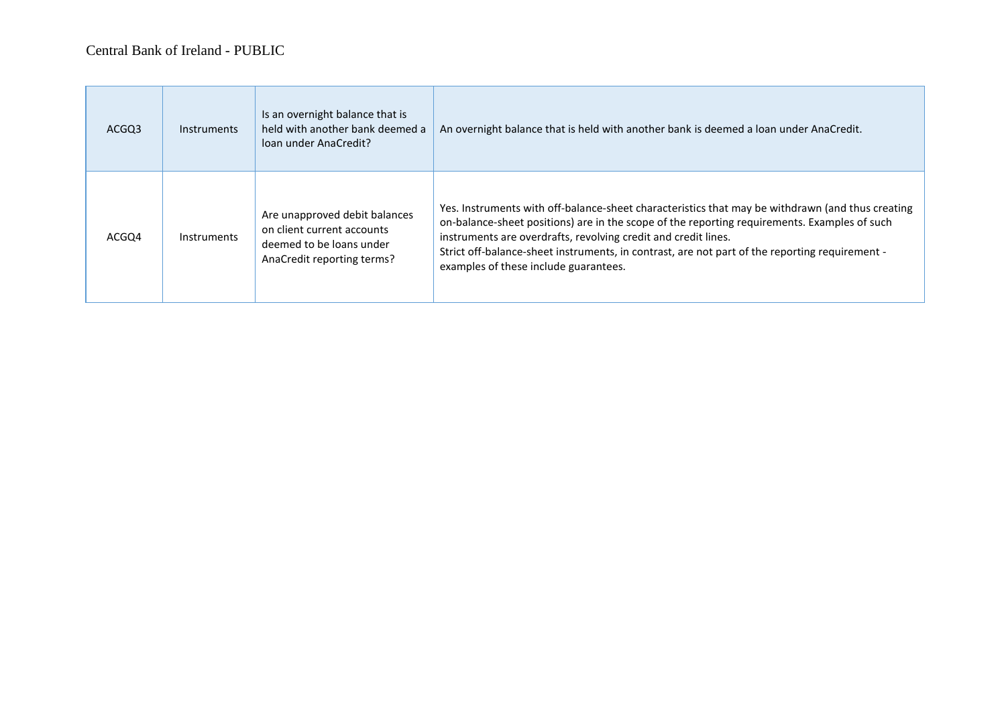| ACGQ3 | <b>Instruments</b> | Is an overnight balance that is<br>held with another bank deemed a<br>loan under AnaCredit?                           | An overnight balance that is held with another bank is deemed a loan under AnaCredit.                                                                                                                                                                                                                                                                                                                         |
|-------|--------------------|-----------------------------------------------------------------------------------------------------------------------|---------------------------------------------------------------------------------------------------------------------------------------------------------------------------------------------------------------------------------------------------------------------------------------------------------------------------------------------------------------------------------------------------------------|
| ACGQ4 | <b>Instruments</b> | Are unapproved debit balances<br>on client current accounts<br>deemed to be loans under<br>AnaCredit reporting terms? | Yes. Instruments with off-balance-sheet characteristics that may be withdrawn (and thus creating<br>on-balance-sheet positions) are in the scope of the reporting requirements. Examples of such<br>instruments are overdrafts, revolving credit and credit lines.<br>Strict off-balance-sheet instruments, in contrast, are not part of the reporting requirement -<br>examples of these include guarantees. |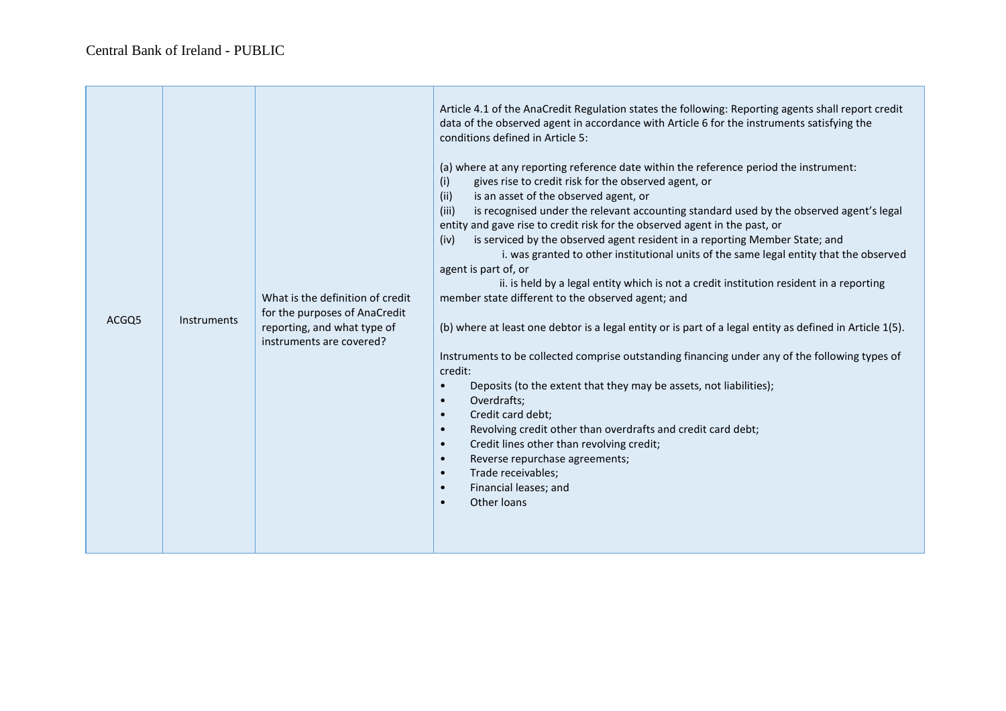| ACGQ5 | <b>Instruments</b> | What is the definition of credit<br>for the purposes of AnaCredit<br>reporting, and what type of<br>instruments are covered? | Article 4.1 of the AnaCredit Regulation states the following: Reporting agents shall report credit<br>data of the observed agent in accordance with Article 6 for the instruments satisfying the<br>conditions defined in Article 5:<br>(a) where at any reporting reference date within the reference period the instrument:<br>gives rise to credit risk for the observed agent, or<br>(i)<br>(ii)<br>is an asset of the observed agent, or<br>(iii)<br>is recognised under the relevant accounting standard used by the observed agent's legal<br>entity and gave rise to credit risk for the observed agent in the past, or<br>is serviced by the observed agent resident in a reporting Member State; and<br>(iv)<br>i. was granted to other institutional units of the same legal entity that the observed<br>agent is part of, or<br>ii. is held by a legal entity which is not a credit institution resident in a reporting<br>member state different to the observed agent; and<br>(b) where at least one debtor is a legal entity or is part of a legal entity as defined in Article 1(5).<br>Instruments to be collected comprise outstanding financing under any of the following types of<br>credit:<br>Deposits (to the extent that they may be assets, not liabilities);<br>$\bullet$<br>Overdrafts;<br>$\bullet$<br>Credit card debt;<br>$\bullet$<br>Revolving credit other than overdrafts and credit card debt;<br>$\bullet$<br>Credit lines other than revolving credit;<br>$\bullet$<br>Reverse repurchase agreements;<br>$\bullet$<br>Trade receivables;<br>$\bullet$<br>Financial leases; and<br>$\bullet$<br>Other loans<br>$\bullet$ |
|-------|--------------------|------------------------------------------------------------------------------------------------------------------------------|---------------------------------------------------------------------------------------------------------------------------------------------------------------------------------------------------------------------------------------------------------------------------------------------------------------------------------------------------------------------------------------------------------------------------------------------------------------------------------------------------------------------------------------------------------------------------------------------------------------------------------------------------------------------------------------------------------------------------------------------------------------------------------------------------------------------------------------------------------------------------------------------------------------------------------------------------------------------------------------------------------------------------------------------------------------------------------------------------------------------------------------------------------------------------------------------------------------------------------------------------------------------------------------------------------------------------------------------------------------------------------------------------------------------------------------------------------------------------------------------------------------------------------------------------------------------------------------------------------------------------------------------------------------|
|-------|--------------------|------------------------------------------------------------------------------------------------------------------------------|---------------------------------------------------------------------------------------------------------------------------------------------------------------------------------------------------------------------------------------------------------------------------------------------------------------------------------------------------------------------------------------------------------------------------------------------------------------------------------------------------------------------------------------------------------------------------------------------------------------------------------------------------------------------------------------------------------------------------------------------------------------------------------------------------------------------------------------------------------------------------------------------------------------------------------------------------------------------------------------------------------------------------------------------------------------------------------------------------------------------------------------------------------------------------------------------------------------------------------------------------------------------------------------------------------------------------------------------------------------------------------------------------------------------------------------------------------------------------------------------------------------------------------------------------------------------------------------------------------------------------------------------------------------|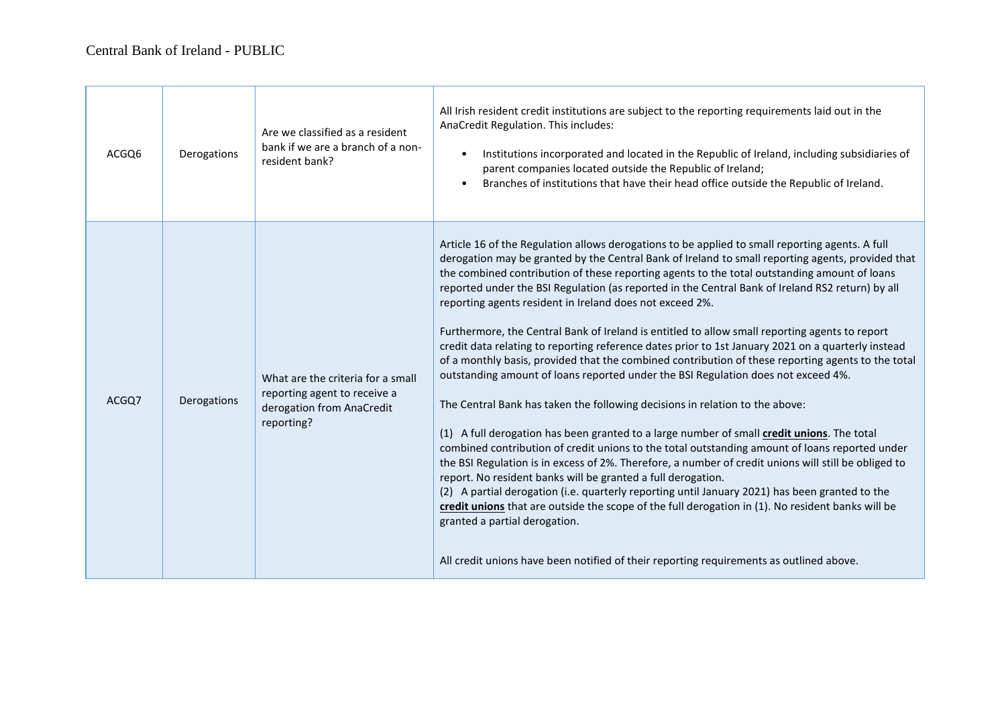| ACGQ6 | Derogations | Are we classified as a resident<br>bank if we are a branch of a non-<br>resident bank?                       | All Irish resident credit institutions are subject to the reporting requirements laid out in the<br>AnaCredit Regulation. This includes:<br>Institutions incorporated and located in the Republic of Ireland, including subsidiaries of<br>$\bullet$<br>parent companies located outside the Republic of Ireland;<br>Branches of institutions that have their head office outside the Republic of Ireland.<br>$\bullet$                                                                                                                                                                                                                                                                                                                                                                                                                                                                                                                                                                                                                                                                                                                                                                                                                                                                                                                                                                                                                                                                                                                                                                                                                                            |
|-------|-------------|--------------------------------------------------------------------------------------------------------------|--------------------------------------------------------------------------------------------------------------------------------------------------------------------------------------------------------------------------------------------------------------------------------------------------------------------------------------------------------------------------------------------------------------------------------------------------------------------------------------------------------------------------------------------------------------------------------------------------------------------------------------------------------------------------------------------------------------------------------------------------------------------------------------------------------------------------------------------------------------------------------------------------------------------------------------------------------------------------------------------------------------------------------------------------------------------------------------------------------------------------------------------------------------------------------------------------------------------------------------------------------------------------------------------------------------------------------------------------------------------------------------------------------------------------------------------------------------------------------------------------------------------------------------------------------------------------------------------------------------------------------------------------------------------|
| ACGQ7 | Derogations | What are the criteria for a small<br>reporting agent to receive a<br>derogation from AnaCredit<br>reporting? | Article 16 of the Regulation allows derogations to be applied to small reporting agents. A full<br>derogation may be granted by the Central Bank of Ireland to small reporting agents, provided that<br>the combined contribution of these reporting agents to the total outstanding amount of loans<br>reported under the BSI Regulation (as reported in the Central Bank of Ireland RS2 return) by all<br>reporting agents resident in Ireland does not exceed 2%.<br>Furthermore, the Central Bank of Ireland is entitled to allow small reporting agents to report<br>credit data relating to reporting reference dates prior to 1st January 2021 on a quarterly instead<br>of a monthly basis, provided that the combined contribution of these reporting agents to the total<br>outstanding amount of loans reported under the BSI Regulation does not exceed 4%.<br>The Central Bank has taken the following decisions in relation to the above:<br>(1) A full derogation has been granted to a large number of small credit unions. The total<br>combined contribution of credit unions to the total outstanding amount of loans reported under<br>the BSI Regulation is in excess of 2%. Therefore, a number of credit unions will still be obliged to<br>report. No resident banks will be granted a full derogation.<br>(2) A partial derogation (i.e. quarterly reporting until January 2021) has been granted to the<br>credit unions that are outside the scope of the full derogation in (1). No resident banks will be<br>granted a partial derogation.<br>All credit unions have been notified of their reporting requirements as outlined above. |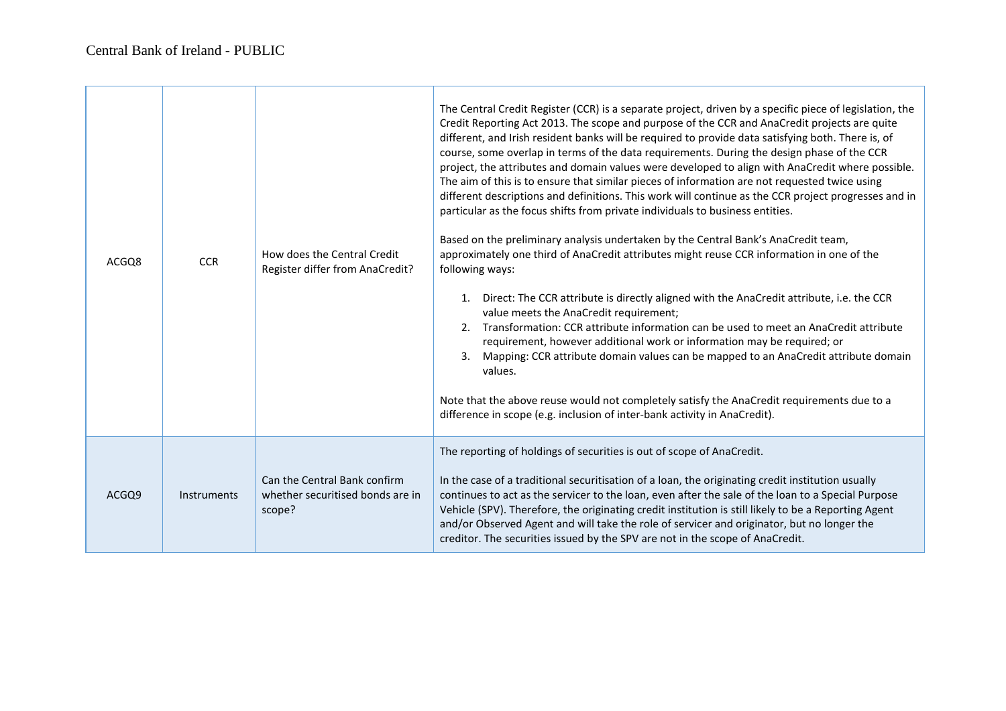| ACGO8 | <b>CCR</b>  | How does the Central Credit<br>Register differ from AnaCredit?             | The Central Credit Register (CCR) is a separate project, driven by a specific piece of legislation, the<br>Credit Reporting Act 2013. The scope and purpose of the CCR and AnaCredit projects are quite<br>different, and Irish resident banks will be required to provide data satisfying both. There is, of<br>course, some overlap in terms of the data requirements. During the design phase of the CCR<br>project, the attributes and domain values were developed to align with AnaCredit where possible.<br>The aim of this is to ensure that similar pieces of information are not requested twice using<br>different descriptions and definitions. This work will continue as the CCR project progresses and in<br>particular as the focus shifts from private individuals to business entities.<br>Based on the preliminary analysis undertaken by the Central Bank's AnaCredit team,<br>approximately one third of AnaCredit attributes might reuse CCR information in one of the<br>following ways:<br>Direct: The CCR attribute is directly aligned with the AnaCredit attribute, i.e. the CCR<br>1.<br>value meets the AnaCredit requirement;<br>2. Transformation: CCR attribute information can be used to meet an AnaCredit attribute<br>requirement, however additional work or information may be required; or<br>Mapping: CCR attribute domain values can be mapped to an AnaCredit attribute domain<br>$\mathbf{3}$ .<br>values.<br>Note that the above reuse would not completely satisfy the AnaCredit requirements due to a<br>difference in scope (e.g. inclusion of inter-bank activity in AnaCredit). |
|-------|-------------|----------------------------------------------------------------------------|----------------------------------------------------------------------------------------------------------------------------------------------------------------------------------------------------------------------------------------------------------------------------------------------------------------------------------------------------------------------------------------------------------------------------------------------------------------------------------------------------------------------------------------------------------------------------------------------------------------------------------------------------------------------------------------------------------------------------------------------------------------------------------------------------------------------------------------------------------------------------------------------------------------------------------------------------------------------------------------------------------------------------------------------------------------------------------------------------------------------------------------------------------------------------------------------------------------------------------------------------------------------------------------------------------------------------------------------------------------------------------------------------------------------------------------------------------------------------------------------------------------------------------------------------------------------------------------------------------------------------------|
| ACGQ9 | Instruments | Can the Central Bank confirm<br>whether securitised bonds are in<br>scope? | The reporting of holdings of securities is out of scope of AnaCredit.<br>In the case of a traditional securitisation of a loan, the originating credit institution usually<br>continues to act as the servicer to the loan, even after the sale of the loan to a Special Purpose<br>Vehicle (SPV). Therefore, the originating credit institution is still likely to be a Reporting Agent<br>and/or Observed Agent and will take the role of servicer and originator, but no longer the<br>creditor. The securities issued by the SPV are not in the scope of AnaCredit.                                                                                                                                                                                                                                                                                                                                                                                                                                                                                                                                                                                                                                                                                                                                                                                                                                                                                                                                                                                                                                                          |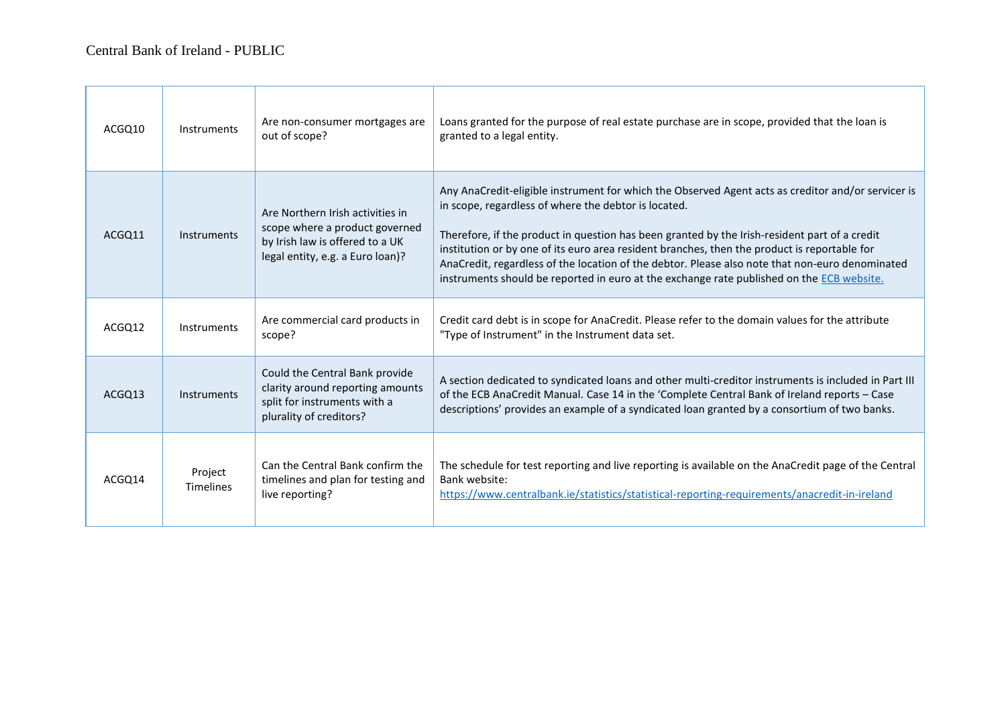| ACGQ10 | Instruments                 | Are non-consumer mortgages are<br>out of scope?                                                                                           | Loans granted for the purpose of real estate purchase are in scope, provided that the loan is<br>granted to a legal entity.                                                                                                                                                                                                                                                                                                                                                                                                                                 |
|--------|-----------------------------|-------------------------------------------------------------------------------------------------------------------------------------------|-------------------------------------------------------------------------------------------------------------------------------------------------------------------------------------------------------------------------------------------------------------------------------------------------------------------------------------------------------------------------------------------------------------------------------------------------------------------------------------------------------------------------------------------------------------|
| ACGO11 | Instruments                 | Are Northern Irish activities in<br>scope where a product governed<br>by Irish law is offered to a UK<br>legal entity, e.g. a Euro loan)? | Any AnaCredit-eligible instrument for which the Observed Agent acts as creditor and/or servicer is<br>in scope, regardless of where the debtor is located.<br>Therefore, if the product in question has been granted by the Irish-resident part of a credit<br>institution or by one of its euro area resident branches, then the product is reportable for<br>AnaCredit, regardless of the location of the debtor. Please also note that non-euro denominated<br>instruments should be reported in euro at the exchange rate published on the ECB website. |
| ACGO12 | Instruments                 | Are commercial card products in<br>scope?                                                                                                 | Credit card debt is in scope for AnaCredit. Please refer to the domain values for the attribute<br>"Type of Instrument" in the Instrument data set.                                                                                                                                                                                                                                                                                                                                                                                                         |
| ACGO13 | Instruments                 | Could the Central Bank provide<br>clarity around reporting amounts<br>split for instruments with a<br>plurality of creditors?             | A section dedicated to syndicated loans and other multi-creditor instruments is included in Part III<br>of the ECB AnaCredit Manual. Case 14 in the 'Complete Central Bank of Ireland reports - Case<br>descriptions' provides an example of a syndicated loan granted by a consortium of two banks.                                                                                                                                                                                                                                                        |
| ACGO14 | Project<br><b>Timelines</b> | Can the Central Bank confirm the<br>timelines and plan for testing and<br>live reporting?                                                 | The schedule for test reporting and live reporting is available on the AnaCredit page of the Central<br>Bank website:<br>https://www.centralbank.ie/statistics/statistical-reporting-requirements/anacredit-in-ireland                                                                                                                                                                                                                                                                                                                                      |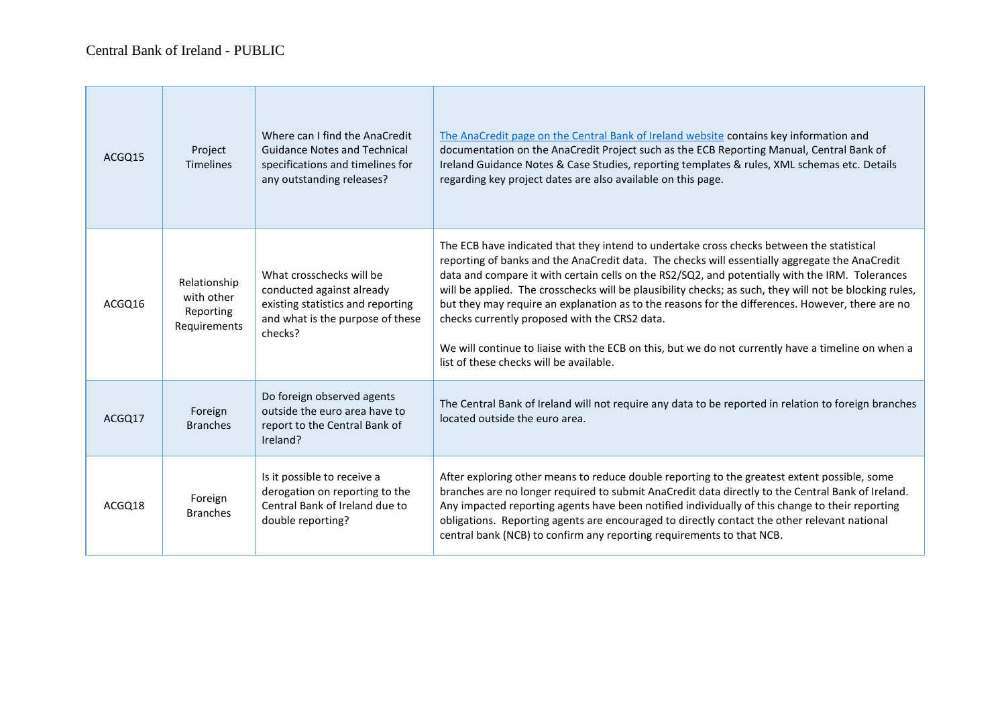$\sim$ 

| ACGQ15 | Project<br><b>Timelines</b>                             | Where can I find the AnaCredit<br><b>Guidance Notes and Technical</b><br>specifications and timelines for<br>any outstanding releases?    | The AnaCredit page on the Central Bank of Ireland website contains key information and<br>documentation on the AnaCredit Project such as the ECB Reporting Manual, Central Bank of<br>Ireland Guidance Notes & Case Studies, reporting templates & rules, XML schemas etc. Details<br>regarding key project dates are also available on this page.                                                                                                                                                                                                                                                                                                                                                              |
|--------|---------------------------------------------------------|-------------------------------------------------------------------------------------------------------------------------------------------|-----------------------------------------------------------------------------------------------------------------------------------------------------------------------------------------------------------------------------------------------------------------------------------------------------------------------------------------------------------------------------------------------------------------------------------------------------------------------------------------------------------------------------------------------------------------------------------------------------------------------------------------------------------------------------------------------------------------|
| ACGQ16 | Relationship<br>with other<br>Reporting<br>Requirements | What crosschecks will be<br>conducted against already<br>existing statistics and reporting<br>and what is the purpose of these<br>checks? | The ECB have indicated that they intend to undertake cross checks between the statistical<br>reporting of banks and the AnaCredit data. The checks will essentially aggregate the AnaCredit<br>data and compare it with certain cells on the RS2/SQ2, and potentially with the IRM. Tolerances<br>will be applied. The crosschecks will be plausibility checks; as such, they will not be blocking rules,<br>but they may require an explanation as to the reasons for the differences. However, there are no<br>checks currently proposed with the CRS2 data.<br>We will continue to liaise with the ECB on this, but we do not currently have a timeline on when a<br>list of these checks will be available. |
| ACGO17 | Foreign<br><b>Branches</b>                              | Do foreign observed agents<br>outside the euro area have to<br>report to the Central Bank of<br>Ireland?                                  | The Central Bank of Ireland will not require any data to be reported in relation to foreign branches<br>located outside the euro area.                                                                                                                                                                                                                                                                                                                                                                                                                                                                                                                                                                          |
| ACGQ18 | Foreign<br><b>Branches</b>                              | Is it possible to receive a<br>derogation on reporting to the<br>Central Bank of Ireland due to<br>double reporting?                      | After exploring other means to reduce double reporting to the greatest extent possible, some<br>branches are no longer required to submit AnaCredit data directly to the Central Bank of Ireland.<br>Any impacted reporting agents have been notified individually of this change to their reporting<br>obligations. Reporting agents are encouraged to directly contact the other relevant national<br>central bank (NCB) to confirm any reporting requirements to that NCB.                                                                                                                                                                                                                                   |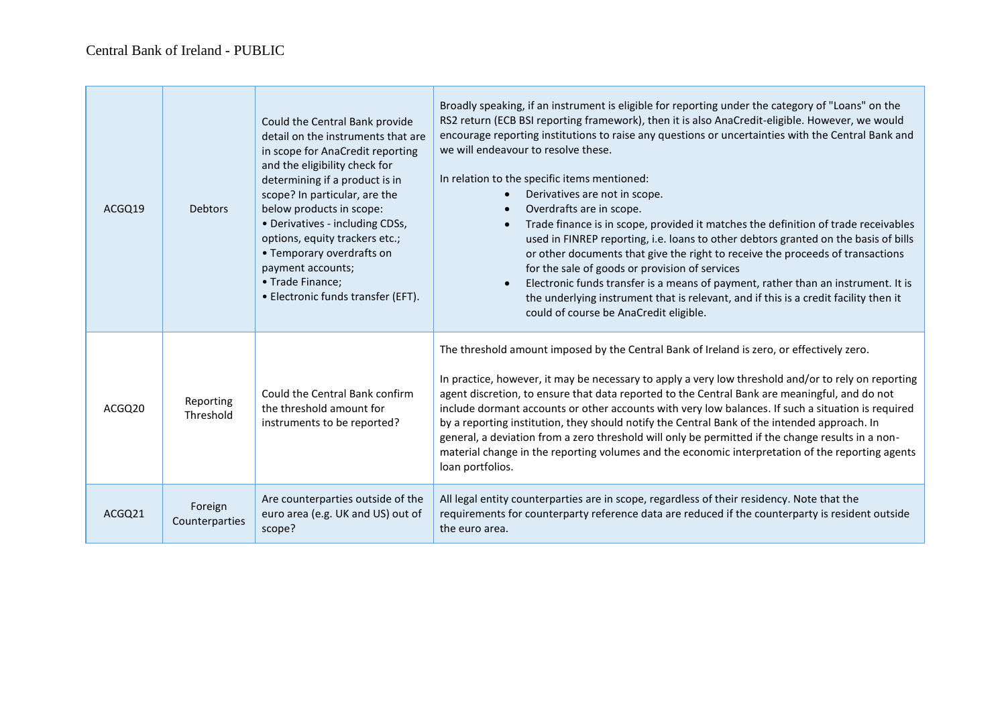$\overline{\phantom{a}}$ 

| ACGO19             | <b>Debtors</b>            | Could the Central Bank provide<br>detail on the instruments that are<br>in scope for AnaCredit reporting<br>and the eligibility check for<br>determining if a product is in<br>scope? In particular, are the<br>below products in scope:<br>• Derivatives - including CDSs,<br>options, equity trackers etc.;<br>• Temporary overdrafts on<br>payment accounts;<br>• Trade Finance;<br>• Electronic funds transfer (EFT). | Broadly speaking, if an instrument is eligible for reporting under the category of "Loans" on the<br>RS2 return (ECB BSI reporting framework), then it is also AnaCredit-eligible. However, we would<br>encourage reporting institutions to raise any questions or uncertainties with the Central Bank and<br>we will endeavour to resolve these.<br>In relation to the specific items mentioned:<br>Derivatives are not in scope.<br>Overdrafts are in scope.<br>$\bullet$<br>Trade finance is in scope, provided it matches the definition of trade receivables<br>$\bullet$<br>used in FINREP reporting, i.e. loans to other debtors granted on the basis of bills<br>or other documents that give the right to receive the proceeds of transactions<br>for the sale of goods or provision of services<br>Electronic funds transfer is a means of payment, rather than an instrument. It is<br>$\bullet$<br>the underlying instrument that is relevant, and if this is a credit facility then it<br>could of course be AnaCredit eligible. |
|--------------------|---------------------------|---------------------------------------------------------------------------------------------------------------------------------------------------------------------------------------------------------------------------------------------------------------------------------------------------------------------------------------------------------------------------------------------------------------------------|-----------------------------------------------------------------------------------------------------------------------------------------------------------------------------------------------------------------------------------------------------------------------------------------------------------------------------------------------------------------------------------------------------------------------------------------------------------------------------------------------------------------------------------------------------------------------------------------------------------------------------------------------------------------------------------------------------------------------------------------------------------------------------------------------------------------------------------------------------------------------------------------------------------------------------------------------------------------------------------------------------------------------------------------------|
| ACGO <sub>20</sub> | Reporting<br>Threshold    | Could the Central Bank confirm<br>the threshold amount for<br>instruments to be reported?                                                                                                                                                                                                                                                                                                                                 | The threshold amount imposed by the Central Bank of Ireland is zero, or effectively zero.<br>In practice, however, it may be necessary to apply a very low threshold and/or to rely on reporting<br>agent discretion, to ensure that data reported to the Central Bank are meaningful, and do not<br>include dormant accounts or other accounts with very low balances. If such a situation is required<br>by a reporting institution, they should notify the Central Bank of the intended approach. In<br>general, a deviation from a zero threshold will only be permitted if the change results in a non-<br>material change in the reporting volumes and the economic interpretation of the reporting agents<br>loan portfolios.                                                                                                                                                                                                                                                                                                          |
| ACGQ21             | Foreign<br>Counterparties | Are counterparties outside of the<br>euro area (e.g. UK and US) out of<br>scope?                                                                                                                                                                                                                                                                                                                                          | All legal entity counterparties are in scope, regardless of their residency. Note that the<br>requirements for counterparty reference data are reduced if the counterparty is resident outside<br>the euro area.                                                                                                                                                                                                                                                                                                                                                                                                                                                                                                                                                                                                                                                                                                                                                                                                                              |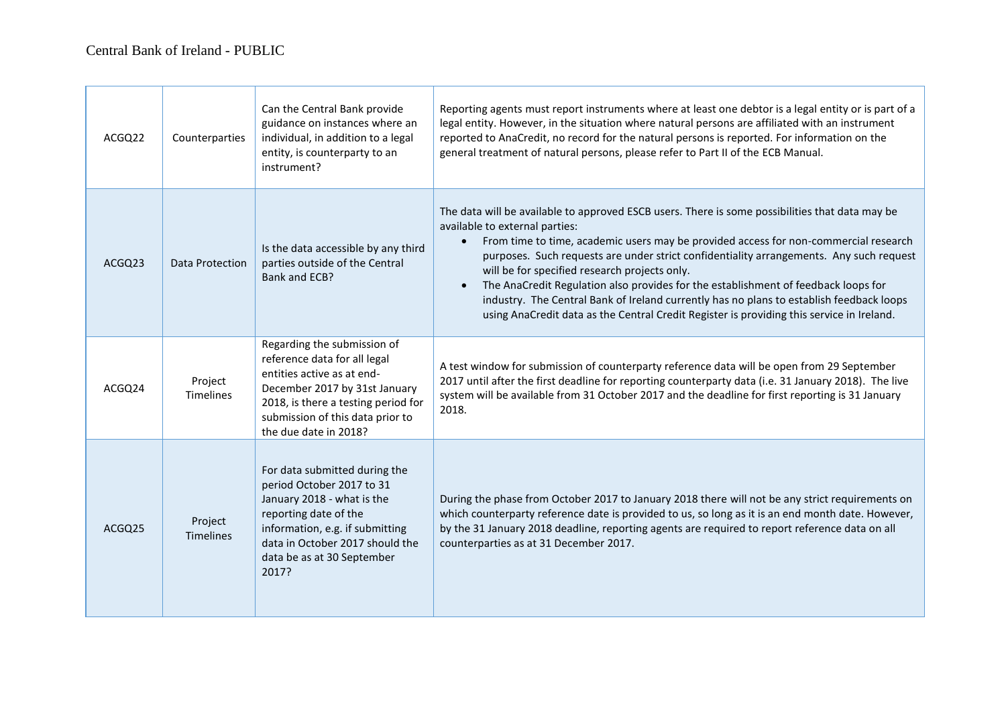$\sim$ 

| ACGQ22 | Counterparties              | Can the Central Bank provide<br>guidance on instances where an<br>individual, in addition to a legal<br>entity, is counterparty to an<br>instrument?                                                                           | Reporting agents must report instruments where at least one debtor is a legal entity or is part of a<br>legal entity. However, in the situation where natural persons are affiliated with an instrument<br>reported to AnaCredit, no record for the natural persons is reported. For information on the<br>general treatment of natural persons, please refer to Part II of the ECB Manual.                                                                                                                                                                                                                                                                                    |
|--------|-----------------------------|--------------------------------------------------------------------------------------------------------------------------------------------------------------------------------------------------------------------------------|--------------------------------------------------------------------------------------------------------------------------------------------------------------------------------------------------------------------------------------------------------------------------------------------------------------------------------------------------------------------------------------------------------------------------------------------------------------------------------------------------------------------------------------------------------------------------------------------------------------------------------------------------------------------------------|
| ACGQ23 | Data Protection             | Is the data accessible by any third<br>parties outside of the Central<br>Bank and ECB?                                                                                                                                         | The data will be available to approved ESCB users. There is some possibilities that data may be<br>available to external parties:<br>From time to time, academic users may be provided access for non-commercial research<br>$\bullet$<br>purposes. Such requests are under strict confidentiality arrangements. Any such request<br>will be for specified research projects only.<br>The AnaCredit Regulation also provides for the establishment of feedback loops for<br>$\bullet$<br>industry. The Central Bank of Ireland currently has no plans to establish feedback loops<br>using AnaCredit data as the Central Credit Register is providing this service in Ireland. |
| ACGQ24 | Project<br><b>Timelines</b> | Regarding the submission of<br>reference data for all legal<br>entities active as at end-<br>December 2017 by 31st January<br>2018, is there a testing period for<br>submission of this data prior to<br>the due date in 2018? | A test window for submission of counterparty reference data will be open from 29 September<br>2017 until after the first deadline for reporting counterparty data (i.e. 31 January 2018). The live<br>system will be available from 31 October 2017 and the deadline for first reporting is 31 January<br>2018.                                                                                                                                                                                                                                                                                                                                                                |
| ACGQ25 | Project<br>Timelines        | For data submitted during the<br>period October 2017 to 31<br>January 2018 - what is the<br>reporting date of the<br>information, e.g. if submitting<br>data in October 2017 should the<br>data be as at 30 September<br>2017? | During the phase from October 2017 to January 2018 there will not be any strict requirements on<br>which counterparty reference date is provided to us, so long as it is an end month date. However,<br>by the 31 January 2018 deadline, reporting agents are required to report reference data on all<br>counterparties as at 31 December 2017.                                                                                                                                                                                                                                                                                                                               |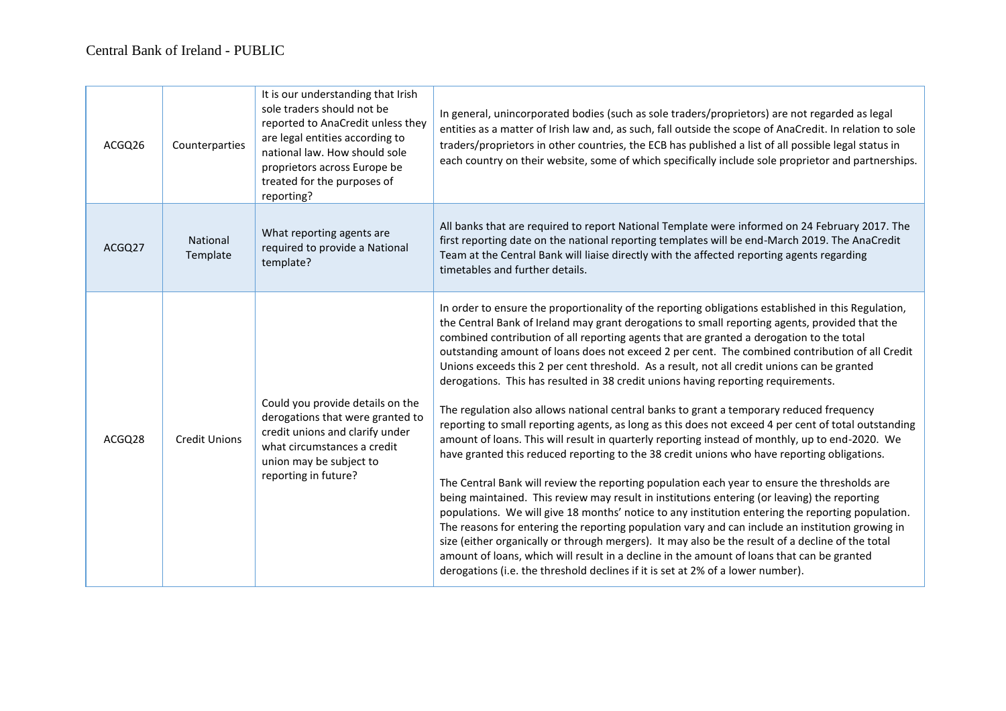| ACGQ26 | Counterparties       | It is our understanding that Irish<br>sole traders should not be<br>reported to AnaCredit unless they<br>are legal entities according to<br>national law. How should sole<br>proprietors across Europe be<br>treated for the purposes of<br>reporting? | In general, unincorporated bodies (such as sole traders/proprietors) are not regarded as legal<br>entities as a matter of Irish law and, as such, fall outside the scope of AnaCredit. In relation to sole<br>traders/proprietors in other countries, the ECB has published a list of all possible legal status in<br>each country on their website, some of which specifically include sole proprietor and partnerships.                                                                                                                                                                                                                                                                                                                                                                                                                                                                                                                                                                                                                                                                                                                                                                                                                                                                                                                                                                                                                                                                                                                                                                                                                                                                     |
|--------|----------------------|--------------------------------------------------------------------------------------------------------------------------------------------------------------------------------------------------------------------------------------------------------|-----------------------------------------------------------------------------------------------------------------------------------------------------------------------------------------------------------------------------------------------------------------------------------------------------------------------------------------------------------------------------------------------------------------------------------------------------------------------------------------------------------------------------------------------------------------------------------------------------------------------------------------------------------------------------------------------------------------------------------------------------------------------------------------------------------------------------------------------------------------------------------------------------------------------------------------------------------------------------------------------------------------------------------------------------------------------------------------------------------------------------------------------------------------------------------------------------------------------------------------------------------------------------------------------------------------------------------------------------------------------------------------------------------------------------------------------------------------------------------------------------------------------------------------------------------------------------------------------------------------------------------------------------------------------------------------------|
| ACGQ27 | National<br>Template | What reporting agents are<br>required to provide a National<br>template?                                                                                                                                                                               | All banks that are required to report National Template were informed on 24 February 2017. The<br>first reporting date on the national reporting templates will be end-March 2019. The AnaCredit<br>Team at the Central Bank will liaise directly with the affected reporting agents regarding<br>timetables and further details.                                                                                                                                                                                                                                                                                                                                                                                                                                                                                                                                                                                                                                                                                                                                                                                                                                                                                                                                                                                                                                                                                                                                                                                                                                                                                                                                                             |
| ACGQ28 | <b>Credit Unions</b> | Could you provide details on the<br>derogations that were granted to<br>credit unions and clarify under<br>what circumstances a credit<br>union may be subject to<br>reporting in future?                                                              | In order to ensure the proportionality of the reporting obligations established in this Regulation,<br>the Central Bank of Ireland may grant derogations to small reporting agents, provided that the<br>combined contribution of all reporting agents that are granted a derogation to the total<br>outstanding amount of loans does not exceed 2 per cent. The combined contribution of all Credit<br>Unions exceeds this 2 per cent threshold. As a result, not all credit unions can be granted<br>derogations. This has resulted in 38 credit unions having reporting requirements.<br>The regulation also allows national central banks to grant a temporary reduced frequency<br>reporting to small reporting agents, as long as this does not exceed 4 per cent of total outstanding<br>amount of loans. This will result in quarterly reporting instead of monthly, up to end-2020. We<br>have granted this reduced reporting to the 38 credit unions who have reporting obligations.<br>The Central Bank will review the reporting population each year to ensure the thresholds are<br>being maintained. This review may result in institutions entering (or leaving) the reporting<br>populations. We will give 18 months' notice to any institution entering the reporting population.<br>The reasons for entering the reporting population vary and can include an institution growing in<br>size (either organically or through mergers). It may also be the result of a decline of the total<br>amount of loans, which will result in a decline in the amount of loans that can be granted<br>derogations (i.e. the threshold declines if it is set at 2% of a lower number). |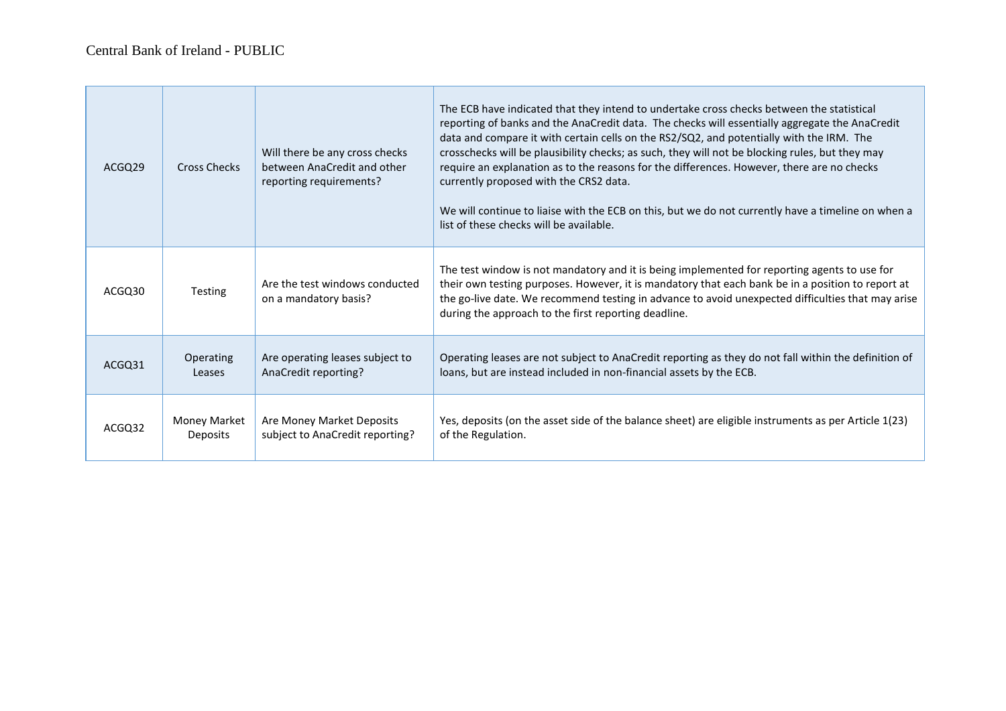| ACGQ29 | <b>Cross Checks</b> | Will there be any cross checks<br>between AnaCredit and other<br>reporting requirements? | The ECB have indicated that they intend to undertake cross checks between the statistical<br>reporting of banks and the AnaCredit data. The checks will essentially aggregate the AnaCredit<br>data and compare it with certain cells on the RS2/SQ2, and potentially with the IRM. The<br>crosschecks will be plausibility checks; as such, they will not be blocking rules, but they may<br>require an explanation as to the reasons for the differences. However, there are no checks<br>currently proposed with the CRS2 data.<br>We will continue to liaise with the ECB on this, but we do not currently have a timeline on when a<br>list of these checks will be available. |
|--------|---------------------|------------------------------------------------------------------------------------------|-------------------------------------------------------------------------------------------------------------------------------------------------------------------------------------------------------------------------------------------------------------------------------------------------------------------------------------------------------------------------------------------------------------------------------------------------------------------------------------------------------------------------------------------------------------------------------------------------------------------------------------------------------------------------------------|
| ACGQ30 | <b>Testing</b>      | Are the test windows conducted<br>on a mandatory basis?                                  | The test window is not mandatory and it is being implemented for reporting agents to use for<br>their own testing purposes. However, it is mandatory that each bank be in a position to report at<br>the go-live date. We recommend testing in advance to avoid unexpected difficulties that may arise<br>during the approach to the first reporting deadline.                                                                                                                                                                                                                                                                                                                      |
| ACGQ31 | Operating           | Are operating leases subject to                                                          | Operating leases are not subject to AnaCredit reporting as they do not fall within the definition of                                                                                                                                                                                                                                                                                                                                                                                                                                                                                                                                                                                |
|        | Leases              | AnaCredit reporting?                                                                     | loans, but are instead included in non-financial assets by the ECB.                                                                                                                                                                                                                                                                                                                                                                                                                                                                                                                                                                                                                 |
| ACGQ32 | Money Market        | Are Money Market Deposits                                                                | Yes, deposits (on the asset side of the balance sheet) are eligible instruments as per Article 1(23)                                                                                                                                                                                                                                                                                                                                                                                                                                                                                                                                                                                |
|        | Deposits            | subject to AnaCredit reporting?                                                          | of the Regulation.                                                                                                                                                                                                                                                                                                                                                                                                                                                                                                                                                                                                                                                                  |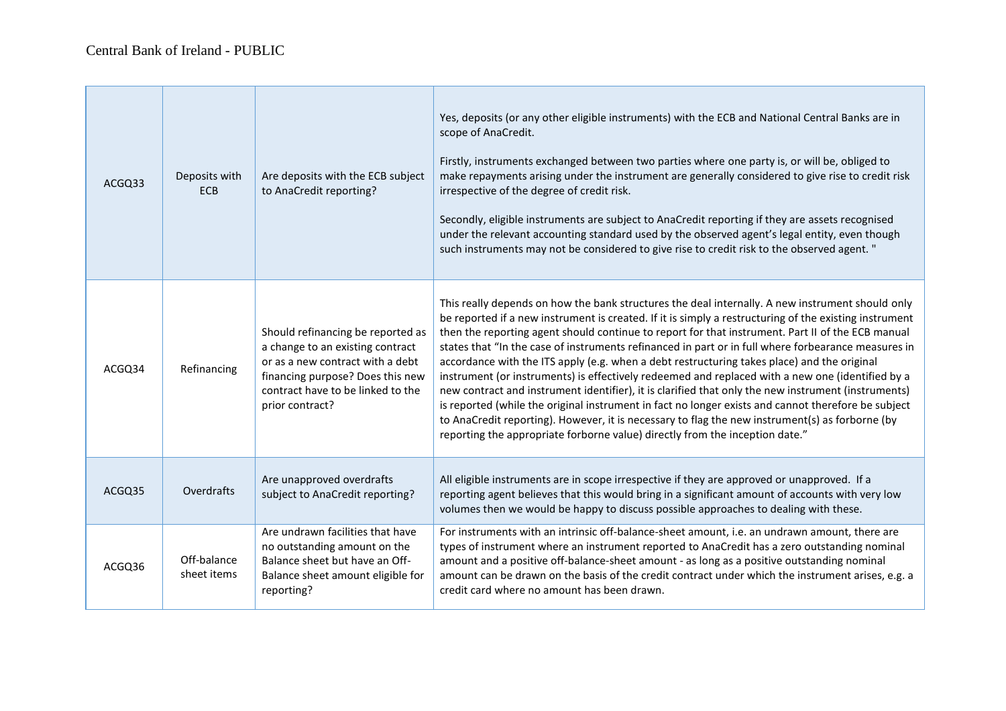| ACGQ33 | Deposits with<br><b>ECB</b> | Are deposits with the ECB subject<br>to AnaCredit reporting?                                                                                                                                          | Yes, deposits (or any other eligible instruments) with the ECB and National Central Banks are in<br>scope of AnaCredit.<br>Firstly, instruments exchanged between two parties where one party is, or will be, obliged to<br>make repayments arising under the instrument are generally considered to give rise to credit risk<br>irrespective of the degree of credit risk.<br>Secondly, eligible instruments are subject to AnaCredit reporting if they are assets recognised<br>under the relevant accounting standard used by the observed agent's legal entity, even though<br>such instruments may not be considered to give rise to credit risk to the observed agent. "                                                                                                                                                                                                                                                                                                                                             |
|--------|-----------------------------|-------------------------------------------------------------------------------------------------------------------------------------------------------------------------------------------------------|----------------------------------------------------------------------------------------------------------------------------------------------------------------------------------------------------------------------------------------------------------------------------------------------------------------------------------------------------------------------------------------------------------------------------------------------------------------------------------------------------------------------------------------------------------------------------------------------------------------------------------------------------------------------------------------------------------------------------------------------------------------------------------------------------------------------------------------------------------------------------------------------------------------------------------------------------------------------------------------------------------------------------|
| ACGQ34 | Refinancing                 | Should refinancing be reported as<br>a change to an existing contract<br>or as a new contract with a debt<br>financing purpose? Does this new<br>contract have to be linked to the<br>prior contract? | This really depends on how the bank structures the deal internally. A new instrument should only<br>be reported if a new instrument is created. If it is simply a restructuring of the existing instrument<br>then the reporting agent should continue to report for that instrument. Part II of the ECB manual<br>states that "In the case of instruments refinanced in part or in full where forbearance measures in<br>accordance with the ITS apply (e.g. when a debt restructuring takes place) and the original<br>instrument (or instruments) is effectively redeemed and replaced with a new one (identified by a<br>new contract and instrument identifier), it is clarified that only the new instrument (instruments)<br>is reported (while the original instrument in fact no longer exists and cannot therefore be subject<br>to AnaCredit reporting). However, it is necessary to flag the new instrument(s) as forborne (by<br>reporting the appropriate forborne value) directly from the inception date." |
| ACGQ35 | Overdrafts                  | Are unapproved overdrafts<br>subject to AnaCredit reporting?                                                                                                                                          | All eligible instruments are in scope irrespective if they are approved or unapproved. If a<br>reporting agent believes that this would bring in a significant amount of accounts with very low<br>volumes then we would be happy to discuss possible approaches to dealing with these.                                                                                                                                                                                                                                                                                                                                                                                                                                                                                                                                                                                                                                                                                                                                    |
| ACGQ36 | Off-balance<br>sheet items  | Are undrawn facilities that have<br>no outstanding amount on the<br>Balance sheet but have an Off-<br>Balance sheet amount eligible for<br>reporting?                                                 | For instruments with an intrinsic off-balance-sheet amount, i.e. an undrawn amount, there are<br>types of instrument where an instrument reported to AnaCredit has a zero outstanding nominal<br>amount and a positive off-balance-sheet amount - as long as a positive outstanding nominal<br>amount can be drawn on the basis of the credit contract under which the instrument arises, e.g. a<br>credit card where no amount has been drawn.                                                                                                                                                                                                                                                                                                                                                                                                                                                                                                                                                                            |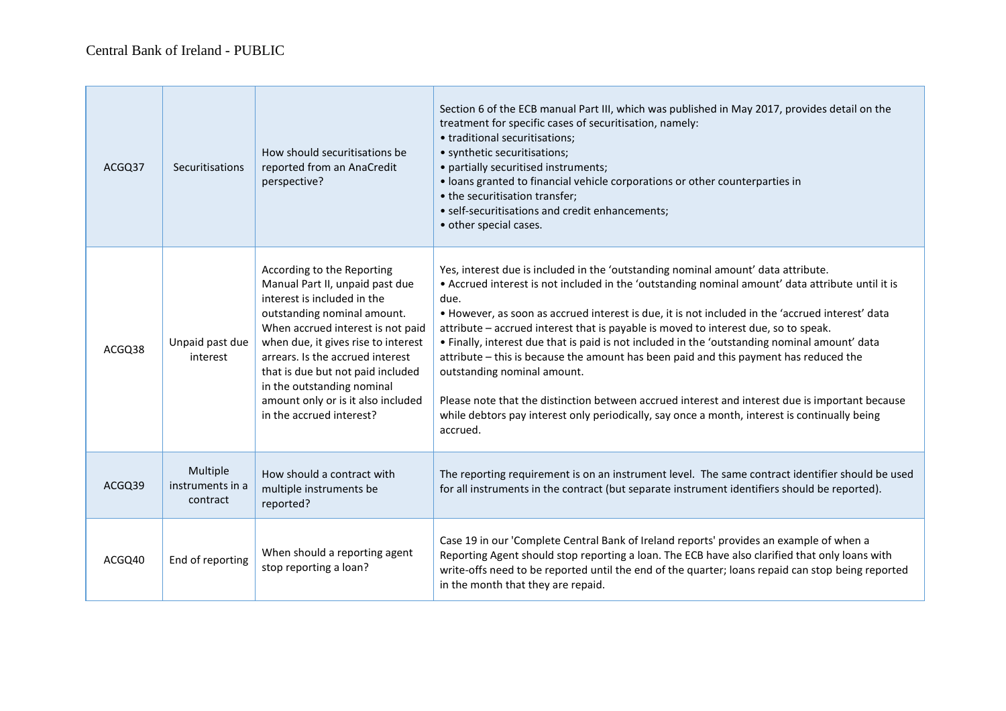| ACGQ37 | Securitisations                          | How should securitisations be<br>reported from an AnaCredit<br>perspective?                                                                                                                                                                                                                                                                                                      | Section 6 of the ECB manual Part III, which was published in May 2017, provides detail on the<br>treatment for specific cases of securitisation, namely:<br>• traditional securitisations;<br>• synthetic securitisations;<br>• partially securitised instruments;<br>• loans granted to financial vehicle corporations or other counterparties in<br>• the securitisation transfer;<br>• self-securitisations and credit enhancements;<br>• other special cases.                                                                                                                                                                                                                                                                                                                                                                  |
|--------|------------------------------------------|----------------------------------------------------------------------------------------------------------------------------------------------------------------------------------------------------------------------------------------------------------------------------------------------------------------------------------------------------------------------------------|------------------------------------------------------------------------------------------------------------------------------------------------------------------------------------------------------------------------------------------------------------------------------------------------------------------------------------------------------------------------------------------------------------------------------------------------------------------------------------------------------------------------------------------------------------------------------------------------------------------------------------------------------------------------------------------------------------------------------------------------------------------------------------------------------------------------------------|
| ACGQ38 | Unpaid past due<br>interest              | According to the Reporting<br>Manual Part II, unpaid past due<br>interest is included in the<br>outstanding nominal amount.<br>When accrued interest is not paid<br>when due, it gives rise to interest<br>arrears. Is the accrued interest<br>that is due but not paid included<br>in the outstanding nominal<br>amount only or is it also included<br>in the accrued interest? | Yes, interest due is included in the 'outstanding nominal amount' data attribute.<br>• Accrued interest is not included in the 'outstanding nominal amount' data attribute until it is<br>due.<br>• However, as soon as accrued interest is due, it is not included in the 'accrued interest' data<br>attribute - accrued interest that is payable is moved to interest due, so to speak.<br>. Finally, interest due that is paid is not included in the 'outstanding nominal amount' data<br>attribute – this is because the amount has been paid and this payment has reduced the<br>outstanding nominal amount.<br>Please note that the distinction between accrued interest and interest due is important because<br>while debtors pay interest only periodically, say once a month, interest is continually being<br>accrued. |
| ACGQ39 | Multiple<br>instruments in a<br>contract | How should a contract with<br>multiple instruments be<br>reported?                                                                                                                                                                                                                                                                                                               | The reporting requirement is on an instrument level. The same contract identifier should be used<br>for all instruments in the contract (but separate instrument identifiers should be reported).                                                                                                                                                                                                                                                                                                                                                                                                                                                                                                                                                                                                                                  |
| ACGQ40 | End of reporting                         | When should a reporting agent<br>stop reporting a loan?                                                                                                                                                                                                                                                                                                                          | Case 19 in our 'Complete Central Bank of Ireland reports' provides an example of when a<br>Reporting Agent should stop reporting a loan. The ECB have also clarified that only loans with<br>write-offs need to be reported until the end of the quarter; loans repaid can stop being reported<br>in the month that they are repaid.                                                                                                                                                                                                                                                                                                                                                                                                                                                                                               |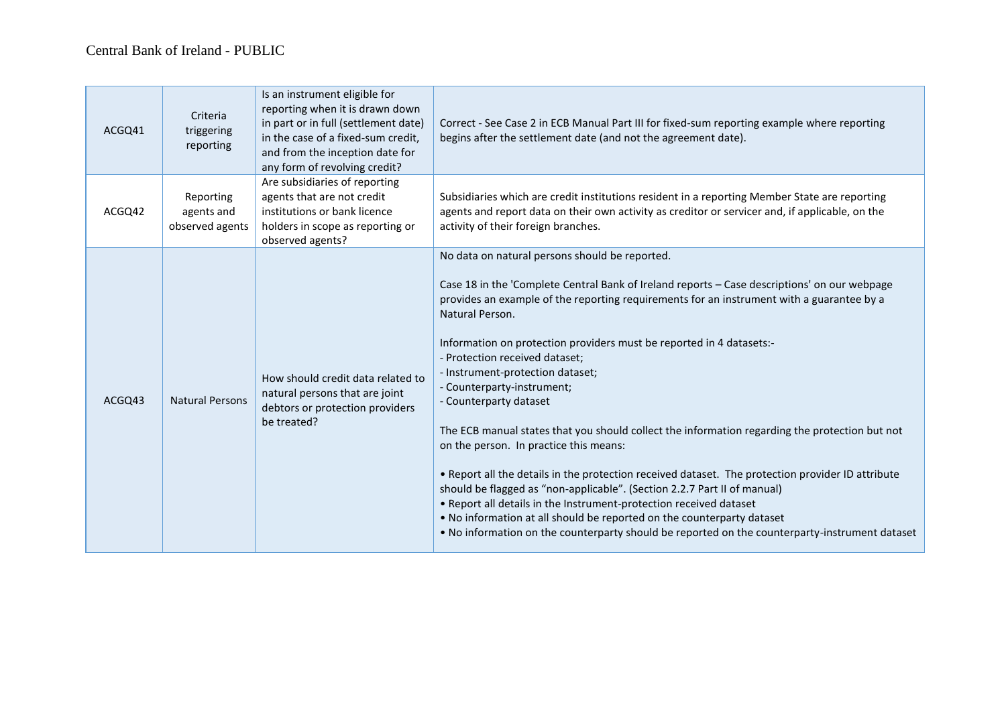| ACGQ41 | Criteria<br>triggering<br>reporting        | Is an instrument eligible for<br>reporting when it is drawn down<br>in part or in full (settlement date)<br>in the case of a fixed-sum credit,<br>and from the inception date for<br>any form of revolving credit? | Correct - See Case 2 in ECB Manual Part III for fixed-sum reporting example where reporting<br>begins after the settlement date (and not the agreement date).                                                                                                                                                                                                                                                                                                                                                                                                                                                                                                                                                                                                                                                                                                                                                                                                                                                                                       |
|--------|--------------------------------------------|--------------------------------------------------------------------------------------------------------------------------------------------------------------------------------------------------------------------|-----------------------------------------------------------------------------------------------------------------------------------------------------------------------------------------------------------------------------------------------------------------------------------------------------------------------------------------------------------------------------------------------------------------------------------------------------------------------------------------------------------------------------------------------------------------------------------------------------------------------------------------------------------------------------------------------------------------------------------------------------------------------------------------------------------------------------------------------------------------------------------------------------------------------------------------------------------------------------------------------------------------------------------------------------|
| ACGQ42 | Reporting<br>agents and<br>observed agents | Are subsidiaries of reporting<br>agents that are not credit<br>institutions or bank licence<br>holders in scope as reporting or<br>observed agents?                                                                | Subsidiaries which are credit institutions resident in a reporting Member State are reporting<br>agents and report data on their own activity as creditor or servicer and, if applicable, on the<br>activity of their foreign branches.                                                                                                                                                                                                                                                                                                                                                                                                                                                                                                                                                                                                                                                                                                                                                                                                             |
| ACGQ43 | <b>Natural Persons</b>                     | How should credit data related to<br>natural persons that are joint<br>debtors or protection providers<br>be treated?                                                                                              | No data on natural persons should be reported.<br>Case 18 in the 'Complete Central Bank of Ireland reports - Case descriptions' on our webpage<br>provides an example of the reporting requirements for an instrument with a guarantee by a<br>Natural Person.<br>Information on protection providers must be reported in 4 datasets:-<br>- Protection received dataset;<br>- Instrument-protection dataset;<br>- Counterparty-instrument;<br>- Counterparty dataset<br>The ECB manual states that you should collect the information regarding the protection but not<br>on the person. In practice this means:<br>. Report all the details in the protection received dataset. The protection provider ID attribute<br>should be flagged as "non-applicable". (Section 2.2.7 Part II of manual)<br>. Report all details in the Instrument-protection received dataset<br>. No information at all should be reported on the counterparty dataset<br>. No information on the counterparty should be reported on the counterparty-instrument dataset |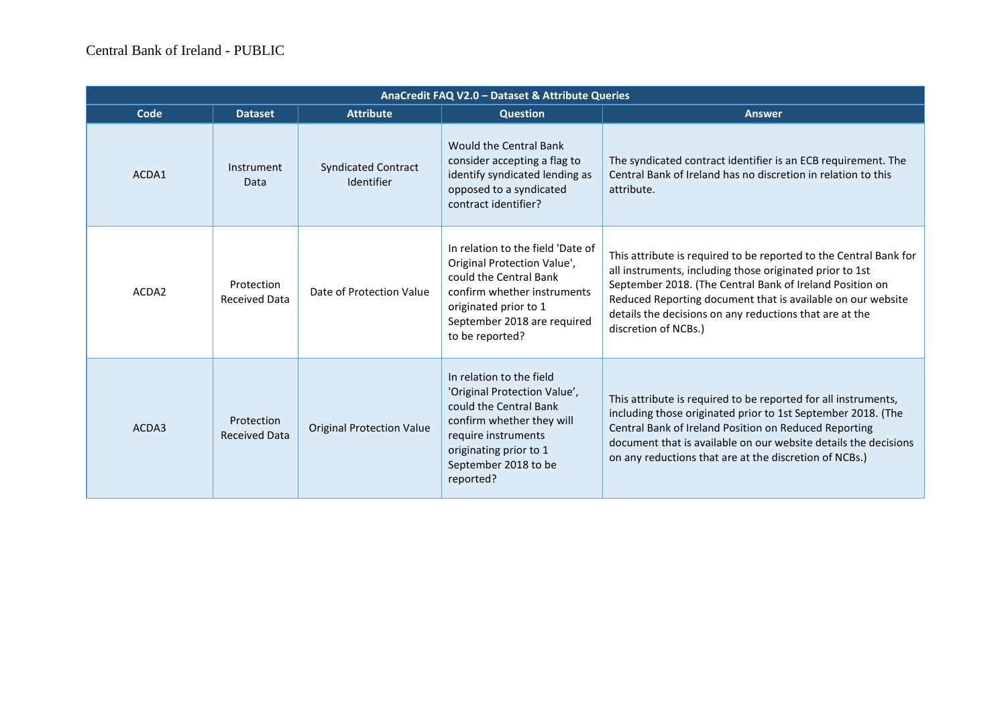| AnaCredit FAQ V2.0 - Dataset & Attribute Queries |                                    |                                          |                                                                                                                                                                                                       |                                                                                                                                                                                                                                                                                                                                             |  |
|--------------------------------------------------|------------------------------------|------------------------------------------|-------------------------------------------------------------------------------------------------------------------------------------------------------------------------------------------------------|---------------------------------------------------------------------------------------------------------------------------------------------------------------------------------------------------------------------------------------------------------------------------------------------------------------------------------------------|--|
| Code                                             | <b>Dataset</b>                     | <b>Attribute</b>                         | <b>Question</b>                                                                                                                                                                                       | <b>Answer</b>                                                                                                                                                                                                                                                                                                                               |  |
| ACDA1                                            | <b>Instrument</b><br>Data          | <b>Syndicated Contract</b><br>Identifier | Would the Central Bank<br>consider accepting a flag to<br>identify syndicated lending as<br>opposed to a syndicated<br>contract identifier?                                                           | The syndicated contract identifier is an ECB requirement. The<br>Central Bank of Ireland has no discretion in relation to this<br>attribute.                                                                                                                                                                                                |  |
| ACDA2                                            | Protection<br><b>Received Data</b> | Date of Protection Value                 | In relation to the field 'Date of<br>Original Protection Value',<br>could the Central Bank<br>confirm whether instruments<br>originated prior to 1<br>September 2018 are required<br>to be reported?  | This attribute is required to be reported to the Central Bank for<br>all instruments, including those originated prior to 1st<br>September 2018. (The Central Bank of Ireland Position on<br>Reduced Reporting document that is available on our website<br>details the decisions on any reductions that are at the<br>discretion of NCBs.) |  |
| ACDA3                                            | Protection<br><b>Received Data</b> | <b>Original Protection Value</b>         | In relation to the field<br>'Original Protection Value',<br>could the Central Bank<br>confirm whether they will<br>require instruments<br>originating prior to 1<br>September 2018 to be<br>reported? | This attribute is required to be reported for all instruments,<br>including those originated prior to 1st September 2018. (The<br>Central Bank of Ireland Position on Reduced Reporting<br>document that is available on our website details the decisions<br>on any reductions that are at the discretion of NCBs.)                        |  |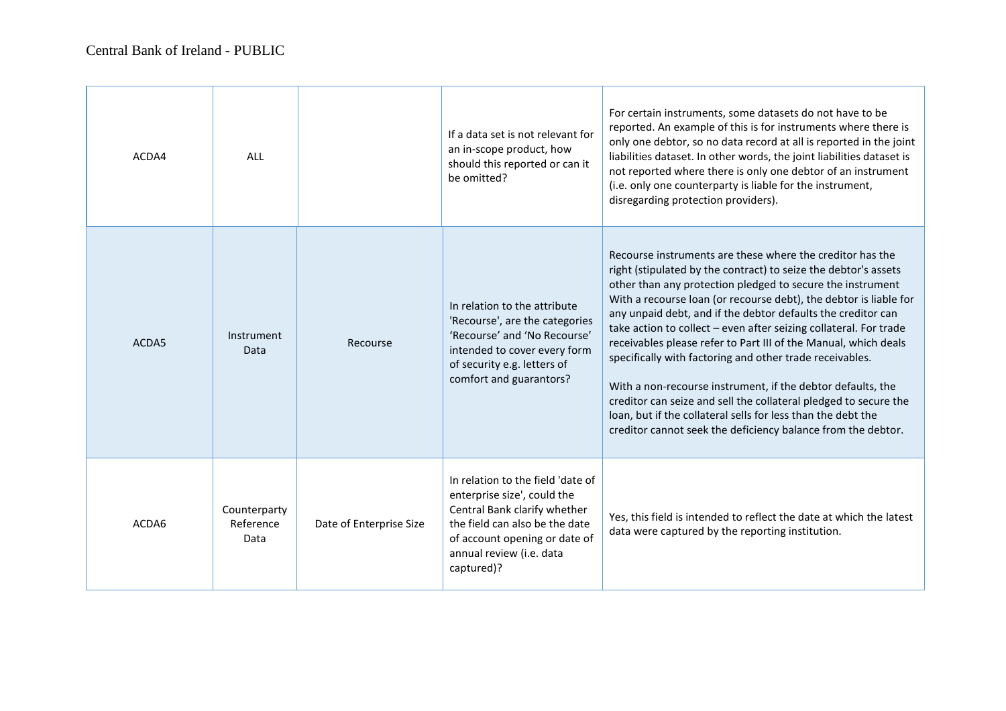| ACDA4 | ALL                               |                         | If a data set is not relevant for<br>an in-scope product, how<br>should this reported or can it<br>be omitted?                                                                                                | For certain instruments, some datasets do not have to be<br>reported. An example of this is for instruments where there is<br>only one debtor, so no data record at all is reported in the joint<br>liabilities dataset. In other words, the joint liabilities dataset is<br>not reported where there is only one debtor of an instrument<br>(i.e. only one counterparty is liable for the instrument,<br>disregarding protection providers).                                                                                                                                                                                                                                                                                                                                                          |
|-------|-----------------------------------|-------------------------|---------------------------------------------------------------------------------------------------------------------------------------------------------------------------------------------------------------|--------------------------------------------------------------------------------------------------------------------------------------------------------------------------------------------------------------------------------------------------------------------------------------------------------------------------------------------------------------------------------------------------------------------------------------------------------------------------------------------------------------------------------------------------------------------------------------------------------------------------------------------------------------------------------------------------------------------------------------------------------------------------------------------------------|
| ACDA5 | Instrument<br>Data                | Recourse                | In relation to the attribute<br>'Recourse', are the categories<br>'Recourse' and 'No Recourse'<br>intended to cover every form<br>of security e.g. letters of<br>comfort and guarantors?                      | Recourse instruments are these where the creditor has the<br>right (stipulated by the contract) to seize the debtor's assets<br>other than any protection pledged to secure the instrument<br>With a recourse loan (or recourse debt), the debtor is liable for<br>any unpaid debt, and if the debtor defaults the creditor can<br>take action to collect - even after seizing collateral. For trade<br>receivables please refer to Part III of the Manual, which deals<br>specifically with factoring and other trade receivables.<br>With a non-recourse instrument, if the debtor defaults, the<br>creditor can seize and sell the collateral pledged to secure the<br>loan, but if the collateral sells for less than the debt the<br>creditor cannot seek the deficiency balance from the debtor. |
| ACDA6 | Counterparty<br>Reference<br>Data | Date of Enterprise Size | In relation to the field 'date of<br>enterprise size', could the<br>Central Bank clarify whether<br>the field can also be the date<br>of account opening or date of<br>annual review (i.e. data<br>captured)? | Yes, this field is intended to reflect the date at which the latest<br>data were captured by the reporting institution.                                                                                                                                                                                                                                                                                                                                                                                                                                                                                                                                                                                                                                                                                |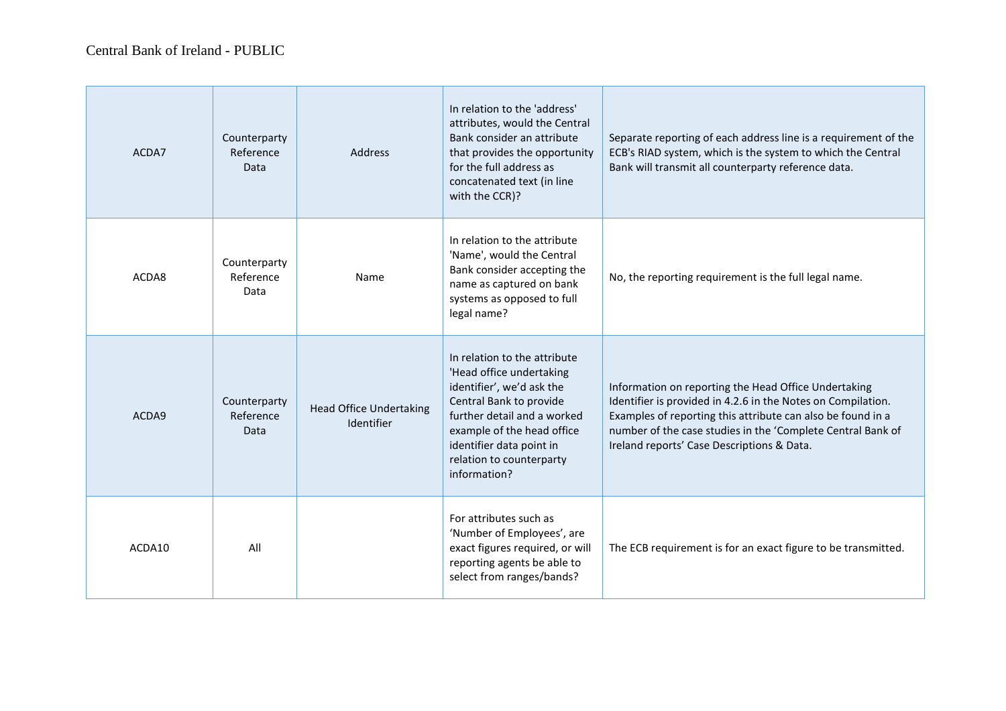| ACDA7  | Counterparty<br>Reference<br>Data | <b>Address</b>                               | In relation to the 'address'<br>attributes, would the Central<br>Bank consider an attribute<br>that provides the opportunity<br>for the full address as<br>concatenated text (in line<br>with the CCR)?                                               | Separate reporting of each address line is a requirement of the<br>ECB's RIAD system, which is the system to which the Central<br>Bank will transmit all counterparty reference data.                                                                                                            |
|--------|-----------------------------------|----------------------------------------------|-------------------------------------------------------------------------------------------------------------------------------------------------------------------------------------------------------------------------------------------------------|--------------------------------------------------------------------------------------------------------------------------------------------------------------------------------------------------------------------------------------------------------------------------------------------------|
| ACDA8  | Counterparty<br>Reference<br>Data | Name                                         | In relation to the attribute<br>'Name', would the Central<br>Bank consider accepting the<br>name as captured on bank<br>systems as opposed to full<br>legal name?                                                                                     | No, the reporting requirement is the full legal name.                                                                                                                                                                                                                                            |
| ACDA9  | Counterparty<br>Reference<br>Data | <b>Head Office Undertaking</b><br>Identifier | In relation to the attribute<br>'Head office undertaking<br>identifier', we'd ask the<br>Central Bank to provide<br>further detail and a worked<br>example of the head office<br>identifier data point in<br>relation to counterparty<br>information? | Information on reporting the Head Office Undertaking<br>Identifier is provided in 4.2.6 in the Notes on Compilation.<br>Examples of reporting this attribute can also be found in a<br>number of the case studies in the 'Complete Central Bank of<br>Ireland reports' Case Descriptions & Data. |
| ACDA10 | All                               |                                              | For attributes such as<br>'Number of Employees', are<br>exact figures required, or will<br>reporting agents be able to<br>select from ranges/bands?                                                                                                   | The ECB requirement is for an exact figure to be transmitted.                                                                                                                                                                                                                                    |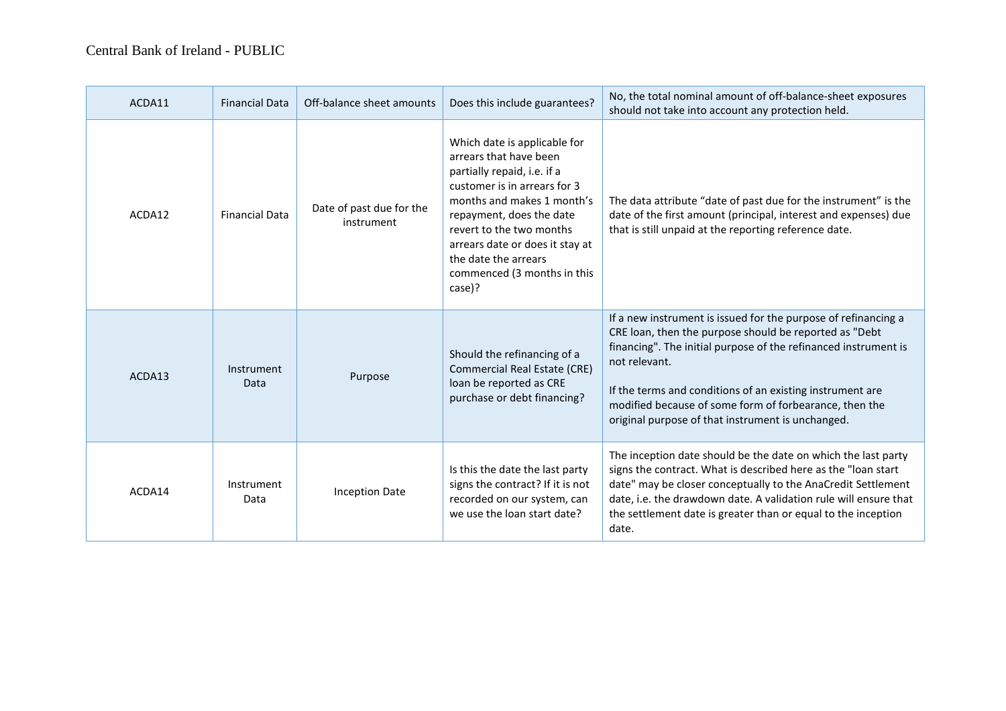| ACDA11 | <b>Financial Data</b> | Off-balance sheet amounts              | Does this include guarantees?                                                                                                                                                                                                                                                                                   | No, the total nominal amount of off-balance-sheet exposures<br>should not take into account any protection held.                                                                                                                                                                                                                                                                         |
|--------|-----------------------|----------------------------------------|-----------------------------------------------------------------------------------------------------------------------------------------------------------------------------------------------------------------------------------------------------------------------------------------------------------------|------------------------------------------------------------------------------------------------------------------------------------------------------------------------------------------------------------------------------------------------------------------------------------------------------------------------------------------------------------------------------------------|
| ACDA12 | <b>Financial Data</b> | Date of past due for the<br>instrument | Which date is applicable for<br>arrears that have been<br>partially repaid, i.e. if a<br>customer is in arrears for 3<br>months and makes 1 month's<br>repayment, does the date<br>revert to the two months<br>arrears date or does it stay at<br>the date the arrears<br>commenced (3 months in this<br>case)? | The data attribute "date of past due for the instrument" is the<br>date of the first amount (principal, interest and expenses) due<br>that is still unpaid at the reporting reference date.                                                                                                                                                                                              |
| ACDA13 | Instrument<br>Data    | Purpose                                | Should the refinancing of a<br>Commercial Real Estate (CRE)<br>loan be reported as CRE<br>purchase or debt financing?                                                                                                                                                                                           | If a new instrument is issued for the purpose of refinancing a<br>CRE loan, then the purpose should be reported as "Debt<br>financing". The initial purpose of the refinanced instrument is<br>not relevant.<br>If the terms and conditions of an existing instrument are<br>modified because of some form of forbearance, then the<br>original purpose of that instrument is unchanged. |
| ACDA14 | Instrument<br>Data    | <b>Inception Date</b>                  | Is this the date the last party<br>signs the contract? If it is not<br>recorded on our system, can<br>we use the loan start date?                                                                                                                                                                               | The inception date should be the date on which the last party<br>signs the contract. What is described here as the "loan start<br>date" may be closer conceptually to the AnaCredit Settlement<br>date, i.e. the drawdown date. A validation rule will ensure that<br>the settlement date is greater than or equal to the inception<br>date.                                             |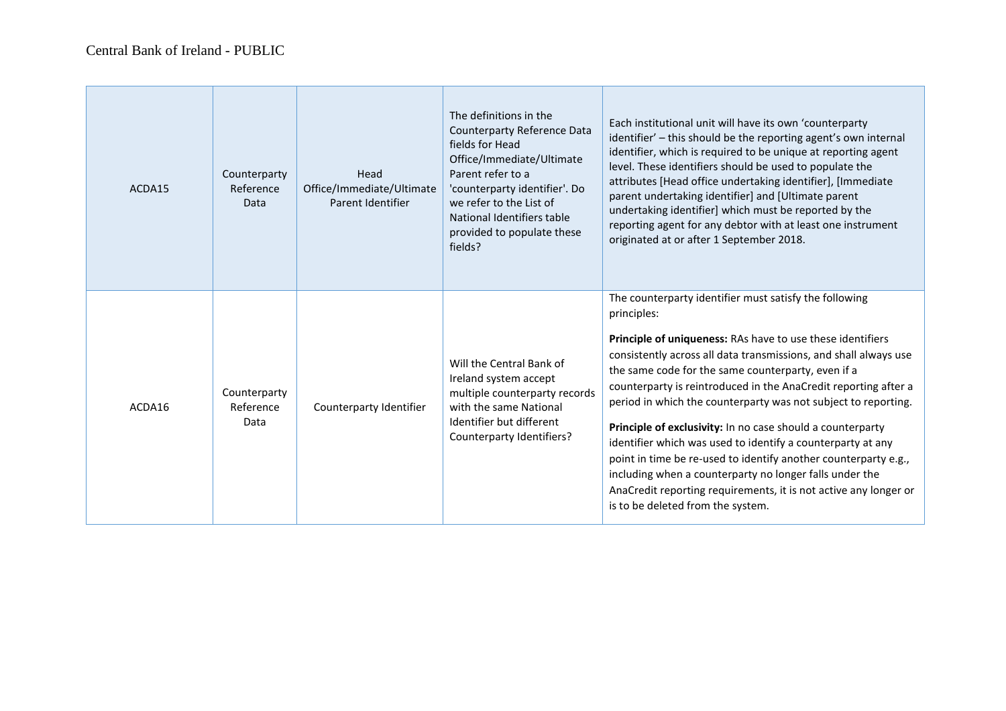$\overline{\phantom{a}}$ 

| ACDA15 | Counterparty<br>Reference<br>Data | Head<br>Office/Immediate/Ultimate<br>Parent Identifier | The definitions in the<br>Counterparty Reference Data<br>fields for Head<br>Office/Immediate/Ultimate<br>Parent refer to a<br>'counterparty identifier'. Do<br>we refer to the List of<br>National Identifiers table<br>provided to populate these<br>fields? | Each institutional unit will have its own 'counterparty<br>identifier' - this should be the reporting agent's own internal<br>identifier, which is required to be unique at reporting agent<br>level. These identifiers should be used to populate the<br>attributes [Head office undertaking identifier], [Immediate<br>parent undertaking identifier] and [Ultimate parent<br>undertaking identifier] which must be reported by the<br>reporting agent for any debtor with at least one instrument<br>originated at or after 1 September 2018.                                                                                                                                                                                                                       |
|--------|-----------------------------------|--------------------------------------------------------|---------------------------------------------------------------------------------------------------------------------------------------------------------------------------------------------------------------------------------------------------------------|------------------------------------------------------------------------------------------------------------------------------------------------------------------------------------------------------------------------------------------------------------------------------------------------------------------------------------------------------------------------------------------------------------------------------------------------------------------------------------------------------------------------------------------------------------------------------------------------------------------------------------------------------------------------------------------------------------------------------------------------------------------------|
| ACDA16 | Counterparty<br>Reference<br>Data | Counterparty Identifier                                | Will the Central Bank of<br>Ireland system accept<br>multiple counterparty records<br>with the same National<br>Identifier but different<br>Counterparty Identifiers?                                                                                         | The counterparty identifier must satisfy the following<br>principles:<br>Principle of uniqueness: RAs have to use these identifiers<br>consistently across all data transmissions, and shall always use<br>the same code for the same counterparty, even if a<br>counterparty is reintroduced in the AnaCredit reporting after a<br>period in which the counterparty was not subject to reporting.<br>Principle of exclusivity: In no case should a counterparty<br>identifier which was used to identify a counterparty at any<br>point in time be re-used to identify another counterparty e.g.,<br>including when a counterparty no longer falls under the<br>AnaCredit reporting requirements, it is not active any longer or<br>is to be deleted from the system. |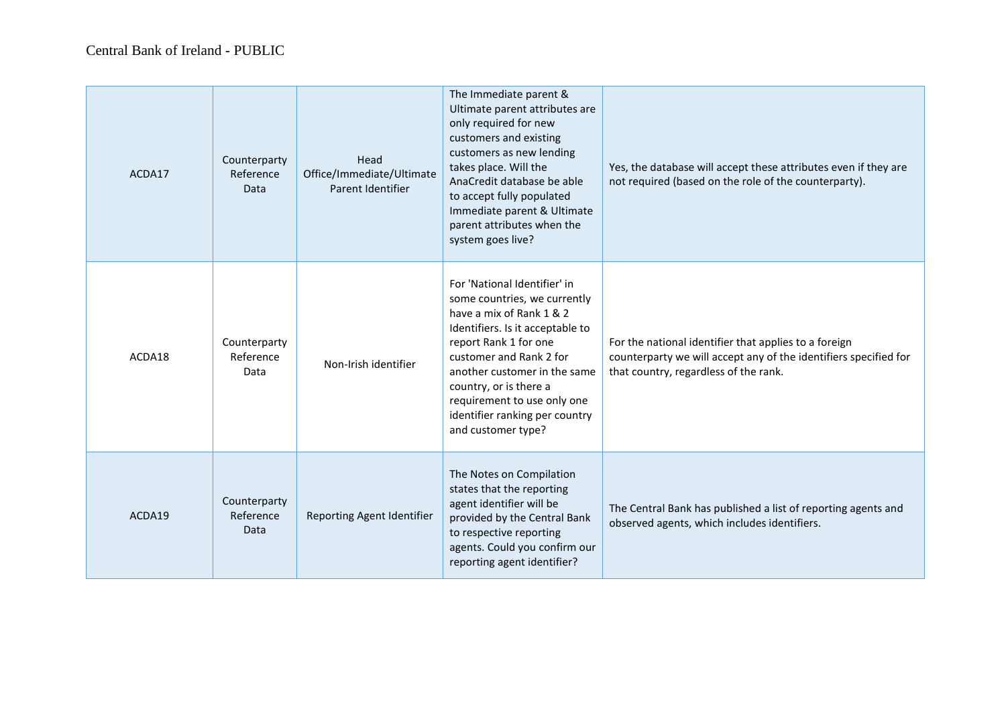| ACDA17 | Counterparty<br>Reference<br>Data | Head<br>Office/Immediate/Ultimate<br>Parent Identifier | The Immediate parent &<br>Ultimate parent attributes are<br>only required for new<br>customers and existing<br>customers as new lending<br>takes place. Will the<br>AnaCredit database be able<br>to accept fully populated<br>Immediate parent & Ultimate<br>parent attributes when the<br>system goes live?                     | Yes, the database will accept these attributes even if they are<br>not required (based on the role of the counterparty).                                           |
|--------|-----------------------------------|--------------------------------------------------------|-----------------------------------------------------------------------------------------------------------------------------------------------------------------------------------------------------------------------------------------------------------------------------------------------------------------------------------|--------------------------------------------------------------------------------------------------------------------------------------------------------------------|
| ACDA18 | Counterparty<br>Reference<br>Data | Non-Irish identifier                                   | For 'National Identifier' in<br>some countries, we currently<br>have a mix of Rank 1 & 2<br>Identifiers. Is it acceptable to<br>report Rank 1 for one<br>customer and Rank 2 for<br>another customer in the same<br>country, or is there a<br>requirement to use only one<br>identifier ranking per country<br>and customer type? | For the national identifier that applies to a foreign<br>counterparty we will accept any of the identifiers specified for<br>that country, regardless of the rank. |
| ACDA19 | Counterparty<br>Reference<br>Data | Reporting Agent Identifier                             | The Notes on Compilation<br>states that the reporting<br>agent identifier will be<br>provided by the Central Bank<br>to respective reporting<br>agents. Could you confirm our<br>reporting agent identifier?                                                                                                                      | The Central Bank has published a list of reporting agents and<br>observed agents, which includes identifiers.                                                      |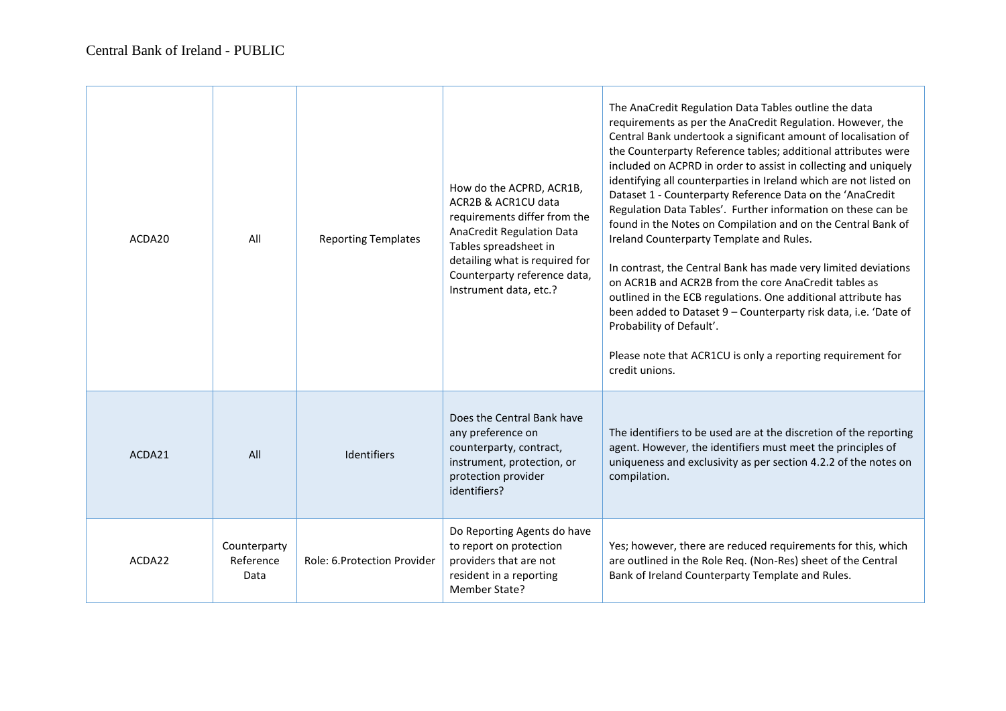| ACDA20             | All                               | <b>Reporting Templates</b>   | How do the ACPRD, ACR1B,<br>ACR2B & ACR1CU data<br>requirements differ from the<br>AnaCredit Regulation Data<br>Tables spreadsheet in<br>detailing what is required for<br>Counterparty reference data,<br>Instrument data, etc.? | The AnaCredit Regulation Data Tables outline the data<br>requirements as per the AnaCredit Regulation. However, the<br>Central Bank undertook a significant amount of localisation of<br>the Counterparty Reference tables; additional attributes were<br>included on ACPRD in order to assist in collecting and uniquely<br>identifying all counterparties in Ireland which are not listed on<br>Dataset 1 - Counterparty Reference Data on the 'AnaCredit<br>Regulation Data Tables'. Further information on these can be<br>found in the Notes on Compilation and on the Central Bank of<br>Ireland Counterparty Template and Rules.<br>In contrast, the Central Bank has made very limited deviations<br>on ACR1B and ACR2B from the core AnaCredit tables as<br>outlined in the ECB regulations. One additional attribute has<br>been added to Dataset 9 - Counterparty risk data, i.e. 'Date of<br>Probability of Default'.<br>Please note that ACR1CU is only a reporting requirement for<br>credit unions. |
|--------------------|-----------------------------------|------------------------------|-----------------------------------------------------------------------------------------------------------------------------------------------------------------------------------------------------------------------------------|--------------------------------------------------------------------------------------------------------------------------------------------------------------------------------------------------------------------------------------------------------------------------------------------------------------------------------------------------------------------------------------------------------------------------------------------------------------------------------------------------------------------------------------------------------------------------------------------------------------------------------------------------------------------------------------------------------------------------------------------------------------------------------------------------------------------------------------------------------------------------------------------------------------------------------------------------------------------------------------------------------------------|
| ACDA <sub>21</sub> | All                               | <b>Identifiers</b>           | Does the Central Bank have<br>any preference on<br>counterparty, contract,<br>instrument, protection, or<br>protection provider<br>identifiers?                                                                                   | The identifiers to be used are at the discretion of the reporting<br>agent. However, the identifiers must meet the principles of<br>uniqueness and exclusivity as per section 4.2.2 of the notes on<br>compilation.                                                                                                                                                                                                                                                                                                                                                                                                                                                                                                                                                                                                                                                                                                                                                                                                |
| ACDA22             | Counterparty<br>Reference<br>Data | Role: 6. Protection Provider | Do Reporting Agents do have<br>to report on protection<br>providers that are not<br>resident in a reporting<br>Member State?                                                                                                      | Yes; however, there are reduced requirements for this, which<br>are outlined in the Role Req. (Non-Res) sheet of the Central<br>Bank of Ireland Counterparty Template and Rules.                                                                                                                                                                                                                                                                                                                                                                                                                                                                                                                                                                                                                                                                                                                                                                                                                                   |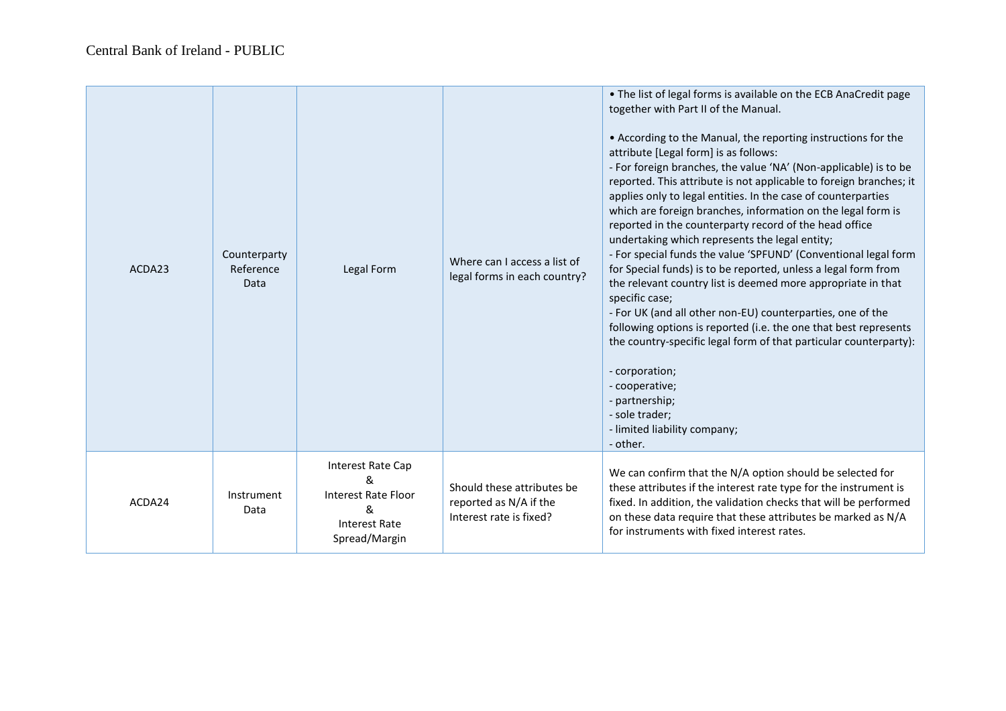| ACDA23 | Counterparty<br>Reference<br>Data | Legal Form                                                                                         | Where can I access a list of<br>legal forms in each country?                    | • The list of legal forms is available on the ECB AnaCredit page<br>together with Part II of the Manual.<br>• According to the Manual, the reporting instructions for the<br>attribute [Legal form] is as follows:<br>- For foreign branches, the value 'NA' (Non-applicable) is to be<br>reported. This attribute is not applicable to foreign branches; it<br>applies only to legal entities. In the case of counterparties<br>which are foreign branches, information on the legal form is<br>reported in the counterparty record of the head office<br>undertaking which represents the legal entity;<br>- For special funds the value 'SPFUND' (Conventional legal form<br>for Special funds) is to be reported, unless a legal form from<br>the relevant country list is deemed more appropriate in that<br>specific case;<br>- For UK (and all other non-EU) counterparties, one of the<br>following options is reported (i.e. the one that best represents<br>the country-specific legal form of that particular counterparty):<br>- corporation;<br>- cooperative;<br>- partnership;<br>- sole trader;<br>- limited liability company;<br>- other. |
|--------|-----------------------------------|----------------------------------------------------------------------------------------------------|---------------------------------------------------------------------------------|-------------------------------------------------------------------------------------------------------------------------------------------------------------------------------------------------------------------------------------------------------------------------------------------------------------------------------------------------------------------------------------------------------------------------------------------------------------------------------------------------------------------------------------------------------------------------------------------------------------------------------------------------------------------------------------------------------------------------------------------------------------------------------------------------------------------------------------------------------------------------------------------------------------------------------------------------------------------------------------------------------------------------------------------------------------------------------------------------------------------------------------------------------------|
| ACDA24 | Instrument<br>Data                | Interest Rate Cap<br>&<br><b>Interest Rate Floor</b><br>&<br><b>Interest Rate</b><br>Spread/Margin | Should these attributes be<br>reported as N/A if the<br>Interest rate is fixed? | We can confirm that the N/A option should be selected for<br>these attributes if the interest rate type for the instrument is<br>fixed. In addition, the validation checks that will be performed<br>on these data require that these attributes be marked as N/A<br>for instruments with fixed interest rates.                                                                                                                                                                                                                                                                                                                                                                                                                                                                                                                                                                                                                                                                                                                                                                                                                                             |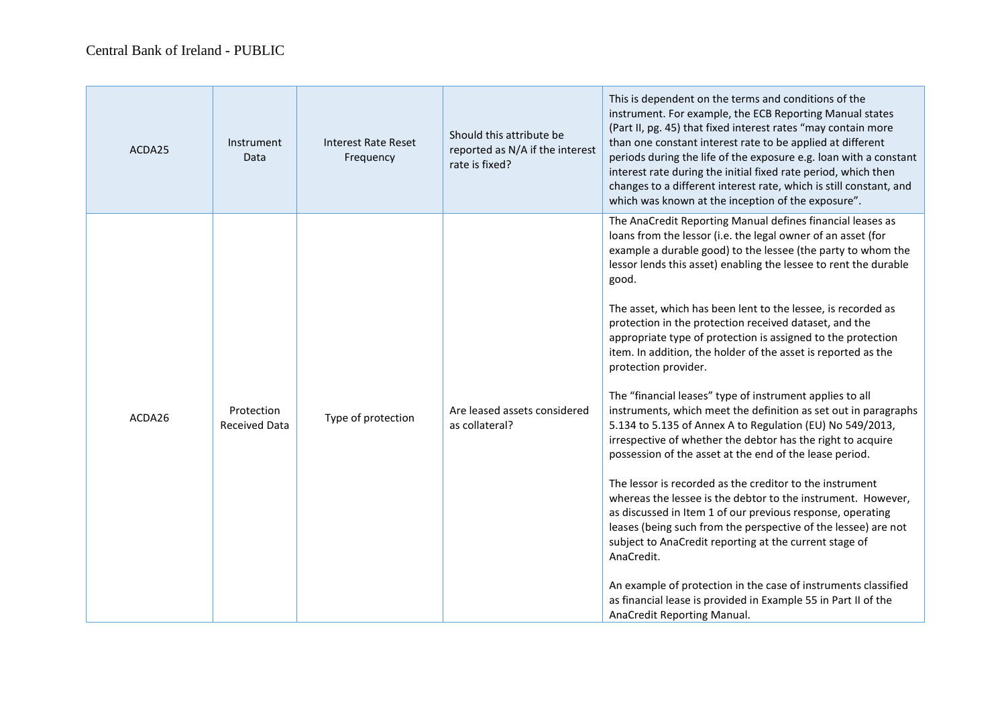| ACDA25 | Instrument<br>Data                 | <b>Interest Rate Reset</b><br>Frequency | Should this attribute be<br>reported as N/A if the interest<br>rate is fixed? | This is dependent on the terms and conditions of the<br>instrument. For example, the ECB Reporting Manual states<br>(Part II, pg. 45) that fixed interest rates "may contain more<br>than one constant interest rate to be applied at different<br>periods during the life of the exposure e.g. loan with a constant<br>interest rate during the initial fixed rate period, which then<br>changes to a different interest rate, which is still constant, and<br>which was known at the inception of the exposure".                                                                                                                                                                                                                                                                                                                                                                                                                                                                                                                                                                                                                                                                                                                                                                                                                                                                      |
|--------|------------------------------------|-----------------------------------------|-------------------------------------------------------------------------------|-----------------------------------------------------------------------------------------------------------------------------------------------------------------------------------------------------------------------------------------------------------------------------------------------------------------------------------------------------------------------------------------------------------------------------------------------------------------------------------------------------------------------------------------------------------------------------------------------------------------------------------------------------------------------------------------------------------------------------------------------------------------------------------------------------------------------------------------------------------------------------------------------------------------------------------------------------------------------------------------------------------------------------------------------------------------------------------------------------------------------------------------------------------------------------------------------------------------------------------------------------------------------------------------------------------------------------------------------------------------------------------------|
| ACDA26 | Protection<br><b>Received Data</b> | Type of protection                      | Are leased assets considered<br>as collateral?                                | The AnaCredit Reporting Manual defines financial leases as<br>loans from the lessor (i.e. the legal owner of an asset (for<br>example a durable good) to the lessee (the party to whom the<br>lessor lends this asset) enabling the lessee to rent the durable<br>good.<br>The asset, which has been lent to the lessee, is recorded as<br>protection in the protection received dataset, and the<br>appropriate type of protection is assigned to the protection<br>item. In addition, the holder of the asset is reported as the<br>protection provider.<br>The "financial leases" type of instrument applies to all<br>instruments, which meet the definition as set out in paragraphs<br>5.134 to 5.135 of Annex A to Regulation (EU) No 549/2013,<br>irrespective of whether the debtor has the right to acquire<br>possession of the asset at the end of the lease period.<br>The lessor is recorded as the creditor to the instrument<br>whereas the lessee is the debtor to the instrument. However,<br>as discussed in Item 1 of our previous response, operating<br>leases (being such from the perspective of the lessee) are not<br>subject to AnaCredit reporting at the current stage of<br>AnaCredit.<br>An example of protection in the case of instruments classified<br>as financial lease is provided in Example 55 in Part II of the<br>AnaCredit Reporting Manual. |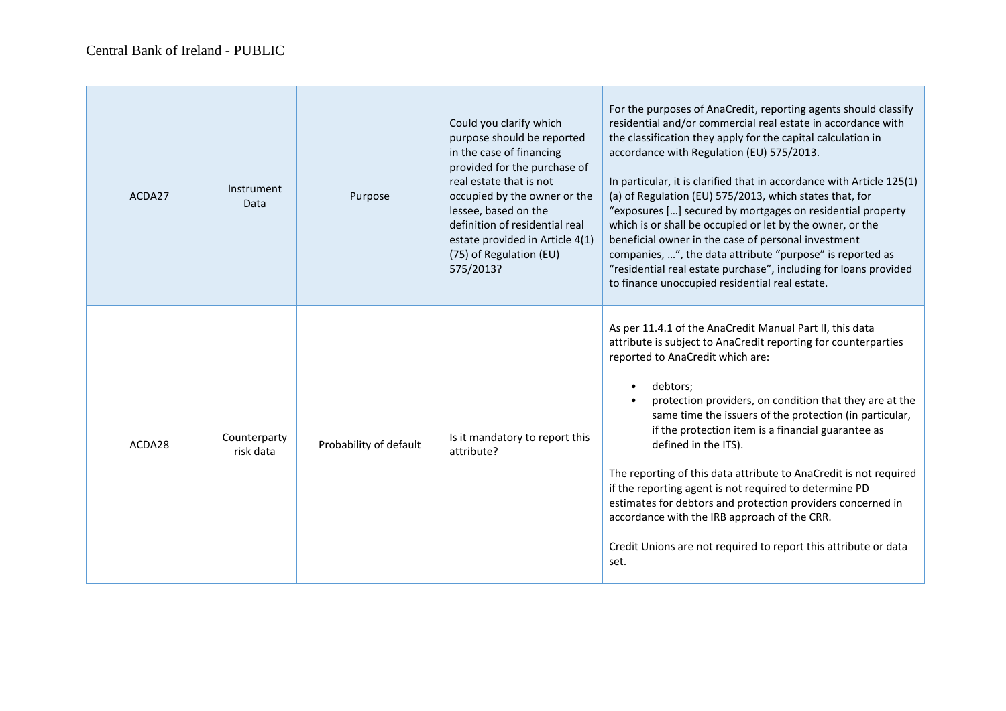| ACDA27 | Instrument<br>Data        | Purpose                | Could you clarify which<br>purpose should be reported<br>in the case of financing<br>provided for the purchase of<br>real estate that is not<br>occupied by the owner or the<br>lessee, based on the<br>definition of residential real<br>estate provided in Article 4(1)<br>(75) of Regulation (EU)<br>575/2013? | For the purposes of AnaCredit, reporting agents should classify<br>residential and/or commercial real estate in accordance with<br>the classification they apply for the capital calculation in<br>accordance with Regulation (EU) 575/2013.<br>In particular, it is clarified that in accordance with Article 125(1)<br>(a) of Regulation (EU) 575/2013, which states that, for<br>"exposures [] secured by mortgages on residential property<br>which is or shall be occupied or let by the owner, or the<br>beneficial owner in the case of personal investment<br>companies, ", the data attribute "purpose" is reported as<br>"residential real estate purchase", including for loans provided<br>to finance unoccupied residential real estate. |
|--------|---------------------------|------------------------|-------------------------------------------------------------------------------------------------------------------------------------------------------------------------------------------------------------------------------------------------------------------------------------------------------------------|-------------------------------------------------------------------------------------------------------------------------------------------------------------------------------------------------------------------------------------------------------------------------------------------------------------------------------------------------------------------------------------------------------------------------------------------------------------------------------------------------------------------------------------------------------------------------------------------------------------------------------------------------------------------------------------------------------------------------------------------------------|
| ACDA28 | Counterparty<br>risk data | Probability of default | Is it mandatory to report this<br>attribute?                                                                                                                                                                                                                                                                      | As per 11.4.1 of the AnaCredit Manual Part II, this data<br>attribute is subject to AnaCredit reporting for counterparties<br>reported to AnaCredit which are:<br>debtors:<br>protection providers, on condition that they are at the<br>same time the issuers of the protection (in particular,<br>if the protection item is a financial guarantee as<br>defined in the ITS).<br>The reporting of this data attribute to AnaCredit is not required<br>if the reporting agent is not required to determine PD<br>estimates for debtors and protection providers concerned in<br>accordance with the IRB approach of the CRR.<br>Credit Unions are not required to report this attribute or data<br>set.                                               |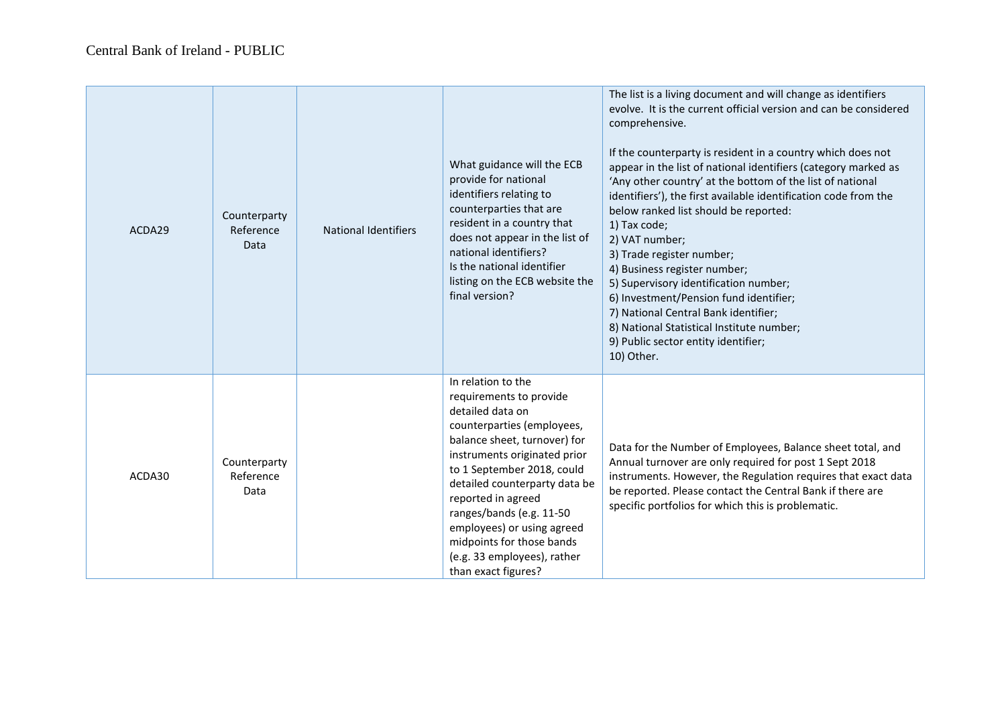| ACDA29 | Counterparty<br>Reference<br><b>Data</b> | <b>National Identifiers</b> | What guidance will the ECB<br>provide for national<br>identifiers relating to<br>counterparties that are<br>resident in a country that<br>does not appear in the list of<br>national identifiers?<br>Is the national identifier<br>listing on the ECB website the<br>final version?                                                                                                               | The list is a living document and will change as identifiers<br>evolve. It is the current official version and can be considered<br>comprehensive.<br>If the counterparty is resident in a country which does not<br>appear in the list of national identifiers (category marked as<br>'Any other country' at the bottom of the list of national<br>identifiers'), the first available identification code from the<br>below ranked list should be reported:<br>1) Tax code;<br>2) VAT number;<br>3) Trade register number;<br>4) Business register number;<br>5) Supervisory identification number;<br>6) Investment/Pension fund identifier;<br>7) National Central Bank identifier;<br>8) National Statistical Institute number;<br>9) Public sector entity identifier;<br>10) Other. |
|--------|------------------------------------------|-----------------------------|---------------------------------------------------------------------------------------------------------------------------------------------------------------------------------------------------------------------------------------------------------------------------------------------------------------------------------------------------------------------------------------------------|------------------------------------------------------------------------------------------------------------------------------------------------------------------------------------------------------------------------------------------------------------------------------------------------------------------------------------------------------------------------------------------------------------------------------------------------------------------------------------------------------------------------------------------------------------------------------------------------------------------------------------------------------------------------------------------------------------------------------------------------------------------------------------------|
| ACDA30 | Counterparty<br>Reference<br>Data        |                             | In relation to the<br>requirements to provide<br>detailed data on<br>counterparties (employees,<br>balance sheet, turnover) for<br>instruments originated prior<br>to 1 September 2018, could<br>detailed counterparty data be<br>reported in agreed<br>ranges/bands (e.g. 11-50<br>employees) or using agreed<br>midpoints for those bands<br>(e.g. 33 employees), rather<br>than exact figures? | Data for the Number of Employees, Balance sheet total, and<br>Annual turnover are only required for post 1 Sept 2018<br>instruments. However, the Regulation requires that exact data<br>be reported. Please contact the Central Bank if there are<br>specific portfolios for which this is problematic.                                                                                                                                                                                                                                                                                                                                                                                                                                                                                 |